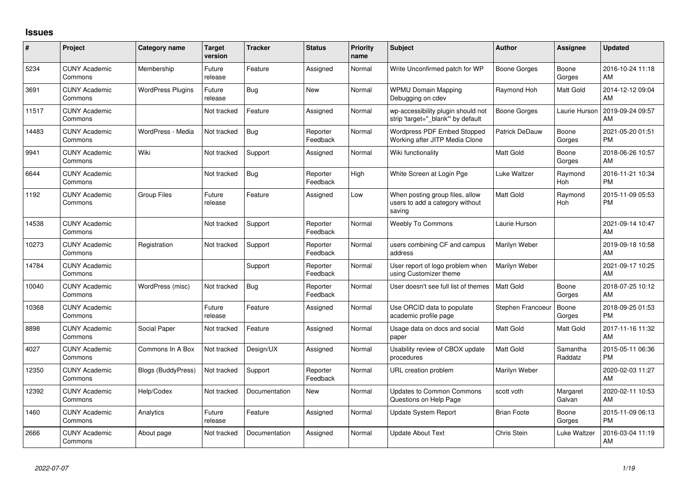## **Issues**

| #     | Project                         | <b>Category name</b>      | <b>Target</b><br>version | <b>Tracker</b> | <b>Status</b>        | <b>Priority</b><br>name | <b>Subject</b>                                                               | <b>Author</b>      | Assignee            | <b>Updated</b>                |
|-------|---------------------------------|---------------------------|--------------------------|----------------|----------------------|-------------------------|------------------------------------------------------------------------------|--------------------|---------------------|-------------------------------|
| 5234  | <b>CUNY Academic</b><br>Commons | Membership                | Future<br>release        | Feature        | Assigned             | Normal                  | Write Unconfirmed patch for WP                                               | Boone Gorges       | Boone<br>Gorges     | 2016-10-24 11:18<br>AM        |
| 3691  | <b>CUNY Academic</b><br>Commons | <b>WordPress Plugins</b>  | Future<br>release        | Bug            | <b>New</b>           | Normal                  | <b>WPMU Domain Mapping</b><br>Debugging on cdev                              | Raymond Hoh        | Matt Gold           | 2014-12-12 09:04<br>AM        |
| 11517 | <b>CUNY Academic</b><br>Commons |                           | Not tracked              | Feature        | Assigned             | Normal                  | wp-accessibility plugin should not<br>strip 'target="_blank" by default      | Boone Gorges       | Laurie Hurson       | 2019-09-24 09:57<br>AM        |
| 14483 | <b>CUNY Academic</b><br>Commons | WordPress - Media         | Not tracked              | Bug            | Reporter<br>Feedback | Normal                  | Wordpress PDF Embed Stopped<br>Working after JITP Media Clone                | Patrick DeDauw     | Boone<br>Gorges     | 2021-05-20 01:51<br><b>PM</b> |
| 9941  | <b>CUNY Academic</b><br>Commons | Wiki                      | Not tracked              | Support        | Assigned             | Normal                  | Wiki functionality                                                           | <b>Matt Gold</b>   | Boone<br>Gorges     | 2018-06-26 10:57<br>AM        |
| 6644  | <b>CUNY Academic</b><br>Commons |                           | Not tracked              | <b>Bug</b>     | Reporter<br>Feedback | High                    | White Screen at Login Pge                                                    | Luke Waltzer       | Raymond<br>Hoh      | 2016-11-21 10:34<br><b>PM</b> |
| 1192  | <b>CUNY Academic</b><br>Commons | <b>Group Files</b>        | Future<br>release        | Feature        | Assigned             | Low                     | When posting group files, allow<br>users to add a category without<br>saving | Matt Gold          | Raymond<br>Hoh      | 2015-11-09 05:53<br><b>PM</b> |
| 14538 | <b>CUNY Academic</b><br>Commons |                           | Not tracked              | Support        | Reporter<br>Feedback | Normal                  | <b>Weebly To Commons</b>                                                     | Laurie Hurson      |                     | 2021-09-14 10:47<br>AM        |
| 10273 | <b>CUNY Academic</b><br>Commons | Registration              | Not tracked              | Support        | Reporter<br>Feedback | Normal                  | users combining CF and campus<br>address                                     | Marilyn Weber      |                     | 2019-09-18 10:58<br>AM        |
| 14784 | <b>CUNY Academic</b><br>Commons |                           |                          | Support        | Reporter<br>Feedback | Normal                  | User report of logo problem when<br>using Customizer theme                   | Marilyn Weber      |                     | 2021-09-17 10:25<br>AM        |
| 10040 | <b>CUNY Academic</b><br>Commons | WordPress (misc)          | Not tracked              | Bug            | Reporter<br>Feedback | Normal                  | User doesn't see full list of themes                                         | Matt Gold          | Boone<br>Gorges     | 2018-07-25 10:12<br>AM        |
| 10368 | <b>CUNY Academic</b><br>Commons |                           | Future<br>release        | Feature        | Assigned             | Normal                  | Use ORCID data to populate<br>academic profile page                          | Stephen Francoeur  | Boone<br>Gorges     | 2018-09-25 01:53<br><b>PM</b> |
| 8898  | <b>CUNY Academic</b><br>Commons | Social Paper              | Not tracked              | Feature        | Assigned             | Normal                  | Usage data on docs and social<br>paper                                       | <b>Matt Gold</b>   | Matt Gold           | 2017-11-16 11:32<br>AM        |
| 4027  | <b>CUNY Academic</b><br>Commons | Commons In A Box          | Not tracked              | Design/UX      | Assigned             | Normal                  | Usability review of CBOX update<br>procedures                                | <b>Matt Gold</b>   | Samantha<br>Raddatz | 2015-05-11 06:36<br><b>PM</b> |
| 12350 | <b>CUNY Academic</b><br>Commons | <b>Blogs (BuddyPress)</b> | Not tracked              | Support        | Reporter<br>Feedback | Normal                  | URL creation problem                                                         | Marilyn Weber      |                     | 2020-02-03 11:27<br>AM        |
| 12392 | <b>CUNY Academic</b><br>Commons | Help/Codex                | Not tracked              | Documentation  | <b>New</b>           | Normal                  | <b>Updates to Common Commons</b><br>Questions on Help Page                   | scott voth         | Margaret<br>Galvan  | 2020-02-11 10:53<br>AM        |
| 1460  | <b>CUNY Academic</b><br>Commons | Analytics                 | Future<br>release        | Feature        | Assigned             | Normal                  | Update System Report                                                         | <b>Brian Foote</b> | Boone<br>Gorges     | 2015-11-09 06:13<br><b>PM</b> |
| 2666  | <b>CUNY Academic</b><br>Commons | About page                | Not tracked              | Documentation  | Assigned             | Normal                  | <b>Update About Text</b>                                                     | Chris Stein        | Luke Waltzer        | 2016-03-04 11:19<br>AM        |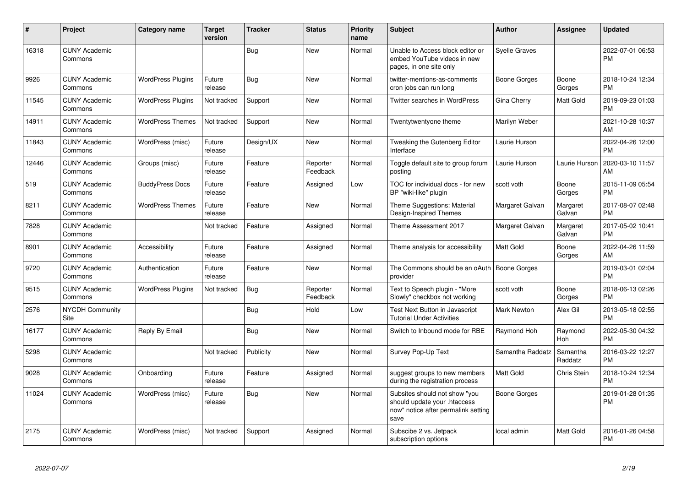| #     | Project                         | <b>Category name</b>     | <b>Target</b><br>version | <b>Tracker</b> | <b>Status</b>        | <b>Priority</b><br>name | <b>Subject</b>                                                                                               | <b>Author</b>        | <b>Assignee</b>     | <b>Updated</b>                |
|-------|---------------------------------|--------------------------|--------------------------|----------------|----------------------|-------------------------|--------------------------------------------------------------------------------------------------------------|----------------------|---------------------|-------------------------------|
| 16318 | <b>CUNY Academic</b><br>Commons |                          |                          | <b>Bug</b>     | New                  | Normal                  | Unable to Access block editor or<br>embed YouTube videos in new<br>pages, in one site only                   | <b>Syelle Graves</b> |                     | 2022-07-01 06:53<br><b>PM</b> |
| 9926  | <b>CUNY Academic</b><br>Commons | <b>WordPress Plugins</b> | Future<br>release        | Bug            | New                  | Normal                  | twitter-mentions-as-comments<br>cron jobs can run long                                                       | Boone Gorges         | Boone<br>Gorges     | 2018-10-24 12:34<br><b>PM</b> |
| 11545 | <b>CUNY Academic</b><br>Commons | <b>WordPress Plugins</b> | Not tracked              | Support        | New                  | Normal                  | Twitter searches in WordPress                                                                                | Gina Cherry          | Matt Gold           | 2019-09-23 01:03<br><b>PM</b> |
| 14911 | <b>CUNY Academic</b><br>Commons | <b>WordPress Themes</b>  | Not tracked              | Support        | New                  | Normal                  | Twentytwentyone theme                                                                                        | Marilyn Weber        |                     | 2021-10-28 10:37<br>AM        |
| 11843 | <b>CUNY Academic</b><br>Commons | WordPress (misc)         | Future<br>release        | Design/UX      | <b>New</b>           | Normal                  | Tweaking the Gutenberg Editor<br>Interface                                                                   | Laurie Hurson        |                     | 2022-04-26 12:00<br><b>PM</b> |
| 12446 | <b>CUNY Academic</b><br>Commons | Groups (misc)            | Future<br>release        | Feature        | Reporter<br>Feedback | Normal                  | Toggle default site to group forum<br>posting                                                                | Laurie Hurson        | Laurie Hurson       | 2020-03-10 11:57<br>AM        |
| 519   | <b>CUNY Academic</b><br>Commons | <b>BuddyPress Docs</b>   | Future<br>release        | Feature        | Assigned             | Low                     | TOC for individual docs - for new<br>BP "wiki-like" plugin                                                   | scott voth           | Boone<br>Gorges     | 2015-11-09 05:54<br><b>PM</b> |
| 8211  | <b>CUNY Academic</b><br>Commons | <b>WordPress Themes</b>  | Future<br>release        | Feature        | New                  | Normal                  | Theme Suggestions: Material<br>Design-Inspired Themes                                                        | Margaret Galvan      | Margaret<br>Galvan  | 2017-08-07 02:48<br><b>PM</b> |
| 7828  | <b>CUNY Academic</b><br>Commons |                          | Not tracked              | Feature        | Assigned             | Normal                  | Theme Assessment 2017                                                                                        | Margaret Galvan      | Margaret<br>Galvan  | 2017-05-02 10:41<br><b>PM</b> |
| 8901  | <b>CUNY Academic</b><br>Commons | Accessibility            | Future<br>release        | Feature        | Assigned             | Normal                  | Theme analysis for accessibility                                                                             | <b>Matt Gold</b>     | Boone<br>Gorges     | 2022-04-26 11:59<br>AM        |
| 9720  | <b>CUNY Academic</b><br>Commons | Authentication           | Future<br>release        | Feature        | New                  | Normal                  | The Commons should be an oAuth   Boone Gorges<br>provider                                                    |                      |                     | 2019-03-01 02:04<br><b>PM</b> |
| 9515  | <b>CUNY Academic</b><br>Commons | <b>WordPress Plugins</b> | Not tracked              | Bug            | Reporter<br>Feedback | Normal                  | Text to Speech plugin - "More<br>Slowly" checkbox not working                                                | scott voth           | Boone<br>Gorges     | 2018-06-13 02:26<br><b>PM</b> |
| 2576  | <b>NYCDH Community</b><br>Site  |                          |                          | <b>Bug</b>     | Hold                 | Low                     | <b>Test Next Button in Javascript</b><br><b>Tutorial Under Activities</b>                                    | <b>Mark Newton</b>   | Alex Gil            | 2013-05-18 02:55<br><b>PM</b> |
| 16177 | <b>CUNY Academic</b><br>Commons | Reply By Email           |                          | Bug            | <b>New</b>           | Normal                  | Switch to Inbound mode for RBE                                                                               | Raymond Hoh          | Raymond<br>Hoh      | 2022-05-30 04:32<br><b>PM</b> |
| 5298  | <b>CUNY Academic</b><br>Commons |                          | Not tracked              | Publicity      | <b>New</b>           | Normal                  | Survey Pop-Up Text                                                                                           | Samantha Raddatz     | Samantha<br>Raddatz | 2016-03-22 12:27<br><b>PM</b> |
| 9028  | <b>CUNY Academic</b><br>Commons | Onboarding               | Future<br>release        | Feature        | Assigned             | Normal                  | suggest groups to new members<br>during the registration process                                             | <b>Matt Gold</b>     | Chris Stein         | 2018-10-24 12:34<br><b>PM</b> |
| 11024 | <b>CUNY Academic</b><br>Commons | WordPress (misc)         | Future<br>release        | Bug            | New                  | Normal                  | Subsites should not show "you<br>should update your .htaccess<br>now" notice after permalink setting<br>save | Boone Gorges         |                     | 2019-01-28 01:35<br><b>PM</b> |
| 2175  | <b>CUNY Academic</b><br>Commons | WordPress (misc)         | Not tracked              | Support        | Assigned             | Normal                  | Subscibe 2 vs. Jetpack<br>subscription options                                                               | local admin          | Matt Gold           | 2016-01-26 04:58<br><b>PM</b> |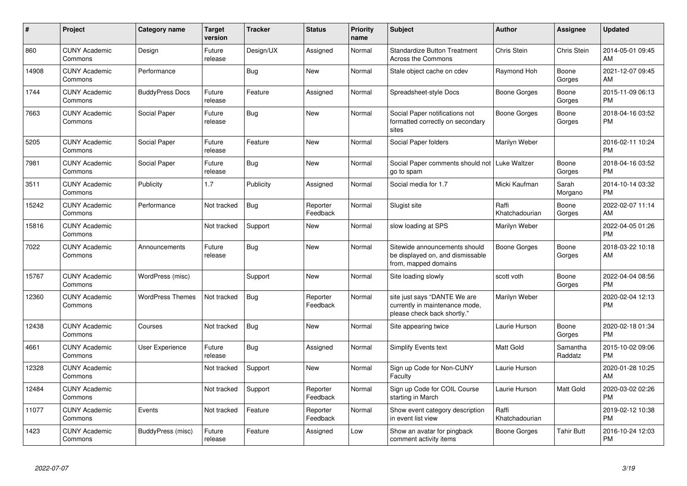| $\#$  | Project                         | Category name           | <b>Target</b><br>version | <b>Tracker</b> | <b>Status</b>        | <b>Priority</b><br>name | <b>Subject</b>                                                                                | Author                  | <b>Assignee</b>     | <b>Updated</b>                |
|-------|---------------------------------|-------------------------|--------------------------|----------------|----------------------|-------------------------|-----------------------------------------------------------------------------------------------|-------------------------|---------------------|-------------------------------|
| 860   | <b>CUNY Academic</b><br>Commons | Design                  | Future<br>release        | Design/UX      | Assigned             | Normal                  | <b>Standardize Button Treatment</b><br><b>Across the Commons</b>                              | Chris Stein             | Chris Stein         | 2014-05-01 09:45<br>AM        |
| 14908 | <b>CUNY Academic</b><br>Commons | Performance             |                          | Bug            | <b>New</b>           | Normal                  | Stale object cache on cdev                                                                    | Raymond Hoh             | Boone<br>Gorges     | 2021-12-07 09:45<br>AM        |
| 1744  | <b>CUNY Academic</b><br>Commons | <b>BuddyPress Docs</b>  | Future<br>release        | Feature        | Assigned             | Normal                  | Spreadsheet-style Docs                                                                        | Boone Gorges            | Boone<br>Gorges     | 2015-11-09 06:13<br><b>PM</b> |
| 7663  | <b>CUNY Academic</b><br>Commons | Social Paper            | Future<br>release        | <b>Bug</b>     | <b>New</b>           | Normal                  | Social Paper notifications not<br>formatted correctly on secondary<br>sites                   | Boone Gorges            | Boone<br>Gorges     | 2018-04-16 03:52<br><b>PM</b> |
| 5205  | <b>CUNY Academic</b><br>Commons | Social Paper            | Future<br>release        | Feature        | New                  | Normal                  | Social Paper folders                                                                          | Marilyn Weber           |                     | 2016-02-11 10:24<br><b>PM</b> |
| 7981  | <b>CUNY Academic</b><br>Commons | Social Paper            | Future<br>release        | <b>Bug</b>     | New                  | Normal                  | Social Paper comments should not   Luke Waltzer<br>go to spam                                 |                         | Boone<br>Gorges     | 2018-04-16 03:52<br><b>PM</b> |
| 3511  | <b>CUNY Academic</b><br>Commons | Publicity               | 1.7                      | Publicity      | Assigned             | Normal                  | Social media for 1.7                                                                          | Micki Kaufman           | Sarah<br>Morgano    | 2014-10-14 03:32<br><b>PM</b> |
| 15242 | <b>CUNY Academic</b><br>Commons | Performance             | Not tracked              | <b>Bug</b>     | Reporter<br>Feedback | Normal                  | Slugist site                                                                                  | Raffi<br>Khatchadourian | Boone<br>Gorges     | 2022-02-07 11:14<br>AM        |
| 15816 | <b>CUNY Academic</b><br>Commons |                         | Not tracked              | Support        | <b>New</b>           | Normal                  | slow loading at SPS                                                                           | Marilyn Weber           |                     | 2022-04-05 01:26<br><b>PM</b> |
| 7022  | <b>CUNY Academic</b><br>Commons | Announcements           | Future<br>release        | <b>Bug</b>     | New                  | Normal                  | Sitewide announcements should<br>be displayed on, and dismissable<br>from, mapped domains     | Boone Gorges            | Boone<br>Gorges     | 2018-03-22 10:18<br>AM        |
| 15767 | <b>CUNY Academic</b><br>Commons | WordPress (misc)        |                          | Support        | <b>New</b>           | Normal                  | Site loading slowly                                                                           | scott voth              | Boone<br>Gorges     | 2022-04-04 08:56<br><b>PM</b> |
| 12360 | <b>CUNY Academic</b><br>Commons | <b>WordPress Themes</b> | Not tracked              | <b>Bug</b>     | Reporter<br>Feedback | Normal                  | site just says "DANTE We are<br>currently in maintenance mode,<br>please check back shortly." | Marilyn Weber           |                     | 2020-02-04 12:13<br><b>PM</b> |
| 12438 | <b>CUNY Academic</b><br>Commons | Courses                 | Not tracked              | <b>Bug</b>     | <b>New</b>           | Normal                  | Site appearing twice                                                                          | Laurie Hurson           | Boone<br>Gorges     | 2020-02-18 01:34<br><b>PM</b> |
| 4661  | <b>CUNY Academic</b><br>Commons | <b>User Experience</b>  | Future<br>release        | Bug            | Assigned             | Normal                  | <b>Simplify Events text</b>                                                                   | <b>Matt Gold</b>        | Samantha<br>Raddatz | 2015-10-02 09:06<br><b>PM</b> |
| 12328 | <b>CUNY Academic</b><br>Commons |                         | Not tracked              | Support        | New                  | Normal                  | Sign up Code for Non-CUNY<br>Faculty                                                          | Laurie Hurson           |                     | 2020-01-28 10:25<br>AM        |
| 12484 | <b>CUNY Academic</b><br>Commons |                         | Not tracked              | Support        | Reporter<br>Feedback | Normal                  | Sign up Code for COIL Course<br>starting in March                                             | Laurie Hurson           | Matt Gold           | 2020-03-02 02:26<br><b>PM</b> |
| 11077 | <b>CUNY Academic</b><br>Commons | Events                  | Not tracked              | Feature        | Reporter<br>Feedback | Normal                  | Show event category description<br>in event list view                                         | Raffi<br>Khatchadourian |                     | 2019-02-12 10:38<br><b>PM</b> |
| 1423  | <b>CUNY Academic</b><br>Commons | BuddyPress (misc)       | Future<br>release        | Feature        | Assigned             | Low                     | Show an avatar for pingback<br>comment activity items                                         | Boone Gorges            | <b>Tahir Butt</b>   | 2016-10-24 12:03<br>PM        |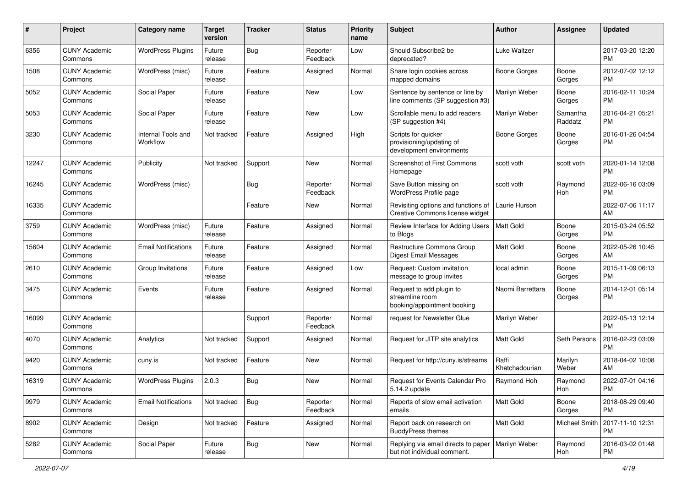| #     | Project                         | <b>Category name</b>           | <b>Target</b><br>version | <b>Tracker</b> | <b>Status</b>        | Priority<br>name | Subject                                                                     | Author                  | <b>Assignee</b>      | <b>Updated</b>                |
|-------|---------------------------------|--------------------------------|--------------------------|----------------|----------------------|------------------|-----------------------------------------------------------------------------|-------------------------|----------------------|-------------------------------|
| 6356  | <b>CUNY Academic</b><br>Commons | <b>WordPress Plugins</b>       | Future<br>release        | <b>Bug</b>     | Reporter<br>Feedback | Low              | Should Subscribe2 be<br>deprecated?                                         | Luke Waltzer            |                      | 2017-03-20 12:20<br><b>PM</b> |
| 1508  | <b>CUNY Academic</b><br>Commons | WordPress (misc)               | Future<br>release        | Feature        | Assigned             | Normal           | Share login cookies across<br>mapped domains                                | <b>Boone Gorges</b>     | Boone<br>Gorges      | 2012-07-02 12:12<br><b>PM</b> |
| 5052  | <b>CUNY Academic</b><br>Commons | Social Paper                   | Future<br>release        | Feature        | New                  | Low              | Sentence by sentence or line by<br>line comments (SP suggestion #3)         | Marilyn Weber           | Boone<br>Gorges      | 2016-02-11 10:24<br><b>PM</b> |
| 5053  | <b>CUNY Academic</b><br>Commons | Social Paper                   | Future<br>release        | Feature        | New                  | Low              | Scrollable menu to add readers<br>(SP suggestion #4)                        | Marilyn Weber           | Samantha<br>Raddatz  | 2016-04-21 05:21<br><b>PM</b> |
| 3230  | <b>CUNY Academic</b><br>Commons | Internal Tools and<br>Workflow | Not tracked              | Feature        | Assigned             | High             | Scripts for quicker<br>provisioning/updating of<br>development environments | <b>Boone Gorges</b>     | Boone<br>Gorges      | 2016-01-26 04:54<br><b>PM</b> |
| 12247 | <b>CUNY Academic</b><br>Commons | Publicity                      | Not tracked              | Support        | New                  | Normal           | Screenshot of First Commons<br>Homepage                                     | scott voth              | scott voth           | 2020-01-14 12:08<br><b>PM</b> |
| 16245 | <b>CUNY Academic</b><br>Commons | WordPress (misc)               |                          | <b>Bug</b>     | Reporter<br>Feedback | Normal           | Save Button missing on<br>WordPress Profile page                            | scott voth              | Raymond<br>Hoh       | 2022-06-16 03:09<br><b>PM</b> |
| 16335 | <b>CUNY Academic</b><br>Commons |                                |                          | Feature        | New                  | Normal           | Revisiting options and functions of<br>Creative Commons license widget      | Laurie Hurson           |                      | 2022-07-06 11:17<br>AM        |
| 3759  | <b>CUNY Academic</b><br>Commons | WordPress (misc)               | Future<br>release        | Feature        | Assigned             | Normal           | Review Interface for Adding Users<br>to Blogs                               | Matt Gold               | Boone<br>Gorges      | 2015-03-24 05:52<br><b>PM</b> |
| 15604 | <b>CUNY Academic</b><br>Commons | <b>Email Notifications</b>     | Future<br>release        | Feature        | Assigned             | Normal           | <b>Restructure Commons Group</b><br><b>Digest Email Messages</b>            | <b>Matt Gold</b>        | Boone<br>Gorges      | 2022-05-26 10:45<br>AM        |
| 2610  | <b>CUNY Academic</b><br>Commons | Group Invitations              | Future<br>release        | Feature        | Assigned             | Low              | Request: Custom invitation<br>message to group invites                      | local admin             | Boone<br>Gorges      | 2015-11-09 06:13<br><b>PM</b> |
| 3475  | <b>CUNY Academic</b><br>Commons | Events                         | Future<br>release        | Feature        | Assigned             | Normal           | Request to add plugin to<br>streamline room<br>booking/appointment booking  | Naomi Barrettara        | Boone<br>Gorges      | 2014-12-01 05:14<br><b>PM</b> |
| 16099 | <b>CUNY Academic</b><br>Commons |                                |                          | Support        | Reporter<br>Feedback | Normal           | request for Newsletter Glue                                                 | Marilyn Weber           |                      | 2022-05-13 12:14<br><b>PM</b> |
| 4070  | <b>CUNY Academic</b><br>Commons | Analytics                      | Not tracked              | Support        | Assigned             | Normal           | Request for JITP site analytics                                             | <b>Matt Gold</b>        | Seth Persons         | 2016-02-23 03:09<br><b>PM</b> |
| 9420  | <b>CUNY Academic</b><br>Commons | cuny.is                        | Not tracked              | Feature        | New                  | Normal           | Request for http://cuny.is/streams                                          | Raffi<br>Khatchadourian | Marilyn<br>Weber     | 2018-04-02 10:08<br>AM        |
| 16319 | <b>CUNY Academic</b><br>Commons | <b>WordPress Plugins</b>       | 2.0.3                    | <b>Bug</b>     | New                  | Normal           | Request for Events Calendar Pro<br>5.14.2 update                            | Raymond Hoh             | Raymond<br>Hoh       | 2022-07-01 04:16<br>PM        |
| 9979  | <b>CUNY Academic</b><br>Commons | <b>Email Notifications</b>     | Not tracked              | Bug            | Reporter<br>Feedback | Normal           | Reports of slow email activation<br>emails                                  | Matt Gold               | Boone<br>Gorges      | 2018-08-29 09:40<br>PM        |
| 8902  | <b>CUNY Academic</b><br>Commons | Design                         | Not tracked              | Feature        | Assigned             | Normal           | Report back on research on<br><b>BuddyPress themes</b>                      | <b>Matt Gold</b>        | <b>Michael Smith</b> | 2017-11-10 12:31<br><b>PM</b> |
| 5282  | <b>CUNY Academic</b><br>Commons | Social Paper                   | Future<br>release        | <b>Bug</b>     | New                  | Normal           | Replying via email directs to paper<br>but not individual comment.          | Marilyn Weber           | Raymond<br>Hoh       | 2016-03-02 01:48<br><b>PM</b> |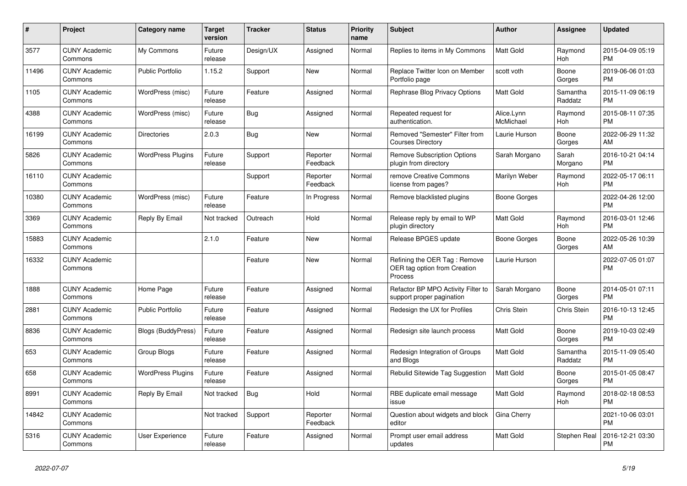| $\pmb{\#}$ | <b>Project</b>                  | Category name            | <b>Target</b><br>version | <b>Tracker</b> | <b>Status</b>        | <b>Priority</b><br>name | <b>Subject</b>                                                          | <b>Author</b>           | Assignee              | <b>Updated</b>                |
|------------|---------------------------------|--------------------------|--------------------------|----------------|----------------------|-------------------------|-------------------------------------------------------------------------|-------------------------|-----------------------|-------------------------------|
| 3577       | <b>CUNY Academic</b><br>Commons | My Commons               | Future<br>release        | Design/UX      | Assigned             | Normal                  | Replies to items in My Commons                                          | <b>Matt Gold</b>        | Raymond<br>Hoh        | 2015-04-09 05:19<br><b>PM</b> |
| 11496      | <b>CUNY Academic</b><br>Commons | <b>Public Portfolio</b>  | 1.15.2                   | Support        | New                  | Normal                  | Replace Twitter Icon on Member<br>Portfolio page                        | scott voth              | Boone<br>Gorges       | 2019-06-06 01:03<br><b>PM</b> |
| 1105       | <b>CUNY Academic</b><br>Commons | WordPress (misc)         | Future<br>release        | Feature        | Assigned             | Normal                  | Rephrase Blog Privacy Options                                           | Matt Gold               | Samantha<br>Raddatz   | 2015-11-09 06:19<br><b>PM</b> |
| 4388       | <b>CUNY Academic</b><br>Commons | WordPress (misc)         | Future<br>release        | <b>Bug</b>     | Assigned             | Normal                  | Repeated request for<br>authentication.                                 | Alice.Lynn<br>McMichael | Raymond<br>Hoh        | 2015-08-11 07:35<br><b>PM</b> |
| 16199      | <b>CUNY Academic</b><br>Commons | <b>Directories</b>       | 2.0.3                    | <b>Bug</b>     | New                  | Normal                  | Removed "Semester" Filter from<br><b>Courses Directory</b>              | Laurie Hurson           | Boone<br>Gorges       | 2022-06-29 11:32<br>AM        |
| 5826       | <b>CUNY Academic</b><br>Commons | <b>WordPress Plugins</b> | Future<br>release        | Support        | Reporter<br>Feedback | Normal                  | <b>Remove Subscription Options</b><br>plugin from directory             | Sarah Morgano           | Sarah<br>Morgano      | 2016-10-21 04:14<br><b>PM</b> |
| 16110      | <b>CUNY Academic</b><br>Commons |                          |                          | Support        | Reporter<br>Feedback | Normal                  | remove Creative Commons<br>license from pages?                          | Marilyn Weber           | Raymond<br><b>Hoh</b> | 2022-05-17 06:11<br><b>PM</b> |
| 10380      | <b>CUNY Academic</b><br>Commons | WordPress (misc)         | Future<br>release        | Feature        | In Progress          | Normal                  | Remove blacklisted plugins                                              | Boone Gorges            |                       | 2022-04-26 12:00<br><b>PM</b> |
| 3369       | <b>CUNY Academic</b><br>Commons | Reply By Email           | Not tracked              | Outreach       | Hold                 | Normal                  | Release reply by email to WP<br>plugin directory                        | Matt Gold               | Raymond<br>Hoh        | 2016-03-01 12:46<br><b>PM</b> |
| 15883      | <b>CUNY Academic</b><br>Commons |                          | 2.1.0                    | Feature        | New                  | Normal                  | Release BPGES update                                                    | <b>Boone Gorges</b>     | Boone<br>Gorges       | 2022-05-26 10:39<br>AM        |
| 16332      | <b>CUNY Academic</b><br>Commons |                          |                          | Feature        | <b>New</b>           | Normal                  | Refining the OER Tag: Remove<br>OER tag option from Creation<br>Process | Laurie Hurson           |                       | 2022-07-05 01:07<br><b>PM</b> |
| 1888       | <b>CUNY Academic</b><br>Commons | Home Page                | Future<br>release        | Feature        | Assigned             | Normal                  | Refactor BP MPO Activity Filter to<br>support proper pagination         | Sarah Morgano           | Boone<br>Gorges       | 2014-05-01 07:11<br><b>PM</b> |
| 2881       | <b>CUNY Academic</b><br>Commons | <b>Public Portfolio</b>  | Future<br>release        | Feature        | Assigned             | Normal                  | Redesign the UX for Profiles                                            | Chris Stein             | Chris Stein           | 2016-10-13 12:45<br><b>PM</b> |
| 8836       | <b>CUNY Academic</b><br>Commons | Blogs (BuddyPress)       | Future<br>release        | Feature        | Assigned             | Normal                  | Redesign site launch process                                            | Matt Gold               | Boone<br>Gorges       | 2019-10-03 02:49<br>PM        |
| 653        | <b>CUNY Academic</b><br>Commons | Group Blogs              | Future<br>release        | Feature        | Assigned             | Normal                  | Redesign Integration of Groups<br>and Blogs                             | <b>Matt Gold</b>        | Samantha<br>Raddatz   | 2015-11-09 05:40<br><b>PM</b> |
| 658        | <b>CUNY Academic</b><br>Commons | <b>WordPress Plugins</b> | Future<br>release        | Feature        | Assigned             | Normal                  | Rebulid Sitewide Tag Suggestion                                         | <b>Matt Gold</b>        | Boone<br>Gorges       | 2015-01-05 08:47<br><b>PM</b> |
| 8991       | <b>CUNY Academic</b><br>Commons | Reply By Email           | Not tracked              | Bug            | Hold                 | Normal                  | RBE duplicate email message<br>issue                                    | Matt Gold               | Raymond<br>Hoh        | 2018-02-18 08:53<br><b>PM</b> |
| 14842      | <b>CUNY Academic</b><br>Commons |                          | Not tracked              | Support        | Reporter<br>Feedback | Normal                  | Question about widgets and block<br>editor                              | Gina Cherry             |                       | 2021-10-06 03:01<br><b>PM</b> |
| 5316       | <b>CUNY Academic</b><br>Commons | User Experience          | Future<br>release        | Feature        | Assigned             | Normal                  | Prompt user email address<br>updates                                    | Matt Gold               | Stephen Real          | 2016-12-21 03:30<br><b>PM</b> |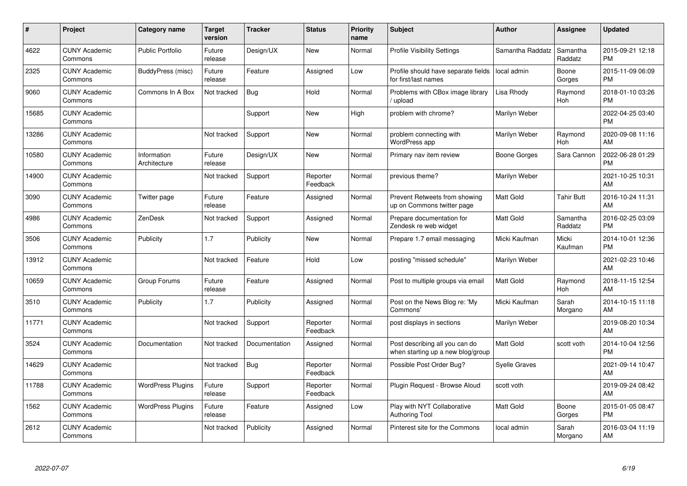| #     | <b>Project</b>                  | <b>Category name</b>        | <b>Target</b><br>version | <b>Tracker</b> | <b>Status</b>        | <b>Priority</b><br>name | <b>Subject</b>                                                      | <b>Author</b>        | Assignee            | <b>Updated</b>                |
|-------|---------------------------------|-----------------------------|--------------------------|----------------|----------------------|-------------------------|---------------------------------------------------------------------|----------------------|---------------------|-------------------------------|
| 4622  | <b>CUNY Academic</b><br>Commons | Public Portfolio            | Future<br>release        | Design/UX      | <b>New</b>           | Normal                  | <b>Profile Visibility Settings</b>                                  | Samantha Raddatz     | Samantha<br>Raddatz | 2015-09-21 12:18<br><b>PM</b> |
| 2325  | <b>CUNY Academic</b><br>Commons | BuddyPress (misc)           | Future<br>release        | Feature        | Assigned             | Low                     | Profile should have separate fields<br>for first/last names         | local admin          | Boone<br>Gorges     | 2015-11-09 06:09<br><b>PM</b> |
| 9060  | <b>CUNY Academic</b><br>Commons | Commons In A Box            | Not tracked              | Bug            | Hold                 | Normal                  | Problems with CBox image library<br>upload                          | Lisa Rhody           | Raymond<br>Hoh      | 2018-01-10 03:26<br><b>PM</b> |
| 15685 | <b>CUNY Academic</b><br>Commons |                             |                          | Support        | New                  | High                    | problem with chrome?                                                | Marilyn Weber        |                     | 2022-04-25 03:40<br><b>PM</b> |
| 13286 | <b>CUNY Academic</b><br>Commons |                             | Not tracked              | Support        | <b>New</b>           | Normal                  | problem connecting with<br>WordPress app                            | Marilyn Weber        | Raymond<br>Hoh      | 2020-09-08 11:16<br>AM        |
| 10580 | <b>CUNY Academic</b><br>Commons | Information<br>Architecture | Future<br>release        | Design/UX      | <b>New</b>           | Normal                  | Primary nav item review                                             | Boone Gorges         | Sara Cannon         | 2022-06-28 01:29<br><b>PM</b> |
| 14900 | <b>CUNY Academic</b><br>Commons |                             | Not tracked              | Support        | Reporter<br>Feedback | Normal                  | previous theme?                                                     | Marilyn Weber        |                     | 2021-10-25 10:31<br>AM        |
| 3090  | <b>CUNY Academic</b><br>Commons | Twitter page                | Future<br>release        | Feature        | Assigned             | Normal                  | Prevent Retweets from showing<br>up on Commons twitter page         | <b>Matt Gold</b>     | <b>Tahir Butt</b>   | 2016-10-24 11:31<br>AM        |
| 4986  | <b>CUNY Academic</b><br>Commons | ZenDesk                     | Not tracked              | Support        | Assigned             | Normal                  | Prepare documentation for<br>Zendesk re web widget                  | <b>Matt Gold</b>     | Samantha<br>Raddatz | 2016-02-25 03:09<br><b>PM</b> |
| 3506  | <b>CUNY Academic</b><br>Commons | Publicity                   | 1.7                      | Publicity      | <b>New</b>           | Normal                  | Prepare 1.7 email messaging                                         | Micki Kaufman        | Micki<br>Kaufman    | 2014-10-01 12:36<br><b>PM</b> |
| 13912 | <b>CUNY Academic</b><br>Commons |                             | Not tracked              | Feature        | Hold                 | Low                     | posting "missed schedule"                                           | Marilyn Weber        |                     | 2021-02-23 10:46<br>AM        |
| 10659 | <b>CUNY Academic</b><br>Commons | Group Forums                | Future<br>release        | Feature        | Assigned             | Normal                  | Post to multiple groups via email                                   | <b>Matt Gold</b>     | Raymond<br>Hoh      | 2018-11-15 12:54<br>AM        |
| 3510  | <b>CUNY Academic</b><br>Commons | Publicity                   | 1.7                      | Publicity      | Assigned             | Normal                  | Post on the News Blog re: 'My<br>Commons'                           | Micki Kaufman        | Sarah<br>Morgano    | 2014-10-15 11:18<br>AM        |
| 11771 | <b>CUNY Academic</b><br>Commons |                             | Not tracked              | Support        | Reporter<br>Feedback | Normal                  | post displays in sections                                           | Marilyn Weber        |                     | 2019-08-20 10:34<br>AM        |
| 3524  | <b>CUNY Academic</b><br>Commons | Documentation               | Not tracked              | Documentation  | Assigned             | Normal                  | Post describing all you can do<br>when starting up a new blog/group | <b>Matt Gold</b>     | scott voth          | 2014-10-04 12:56<br><b>PM</b> |
| 14629 | <b>CUNY Academic</b><br>Commons |                             | Not tracked              | Bug            | Reporter<br>Feedback | Normal                  | Possible Post Order Bug?                                            | <b>Syelle Graves</b> |                     | 2021-09-14 10:47<br>AM        |
| 11788 | <b>CUNY Academic</b><br>Commons | <b>WordPress Plugins</b>    | Future<br>release        | Support        | Reporter<br>Feedback | Normal                  | Plugin Request - Browse Aloud                                       | scott voth           |                     | 2019-09-24 08:42<br>AM        |
| 1562  | <b>CUNY Academic</b><br>Commons | <b>WordPress Plugins</b>    | Future<br>release        | Feature        | Assigned             | Low                     | Play with NYT Collaborative<br><b>Authoring Tool</b>                | <b>Matt Gold</b>     | Boone<br>Gorges     | 2015-01-05 08:47<br><b>PM</b> |
| 2612  | <b>CUNY Academic</b><br>Commons |                             | Not tracked              | Publicity      | Assigned             | Normal                  | Pinterest site for the Commons                                      | local admin          | Sarah<br>Morgano    | 2016-03-04 11:19<br>AM        |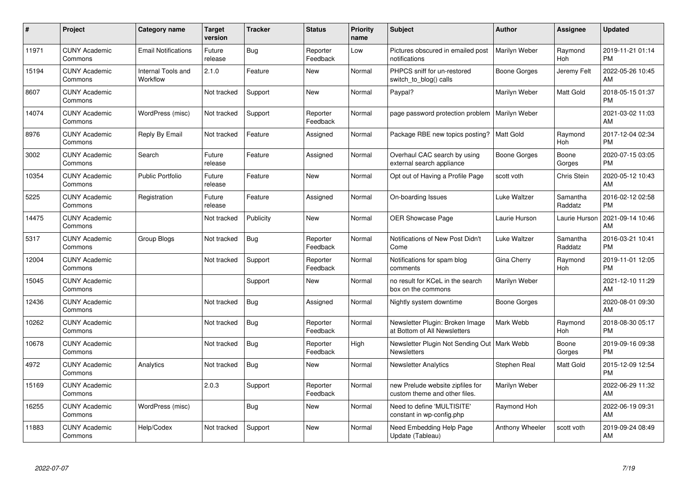| #     | Project                         | <b>Category name</b>           | <b>Target</b><br>version | <b>Tracker</b> | <b>Status</b>        | <b>Priority</b><br>name | <b>Subject</b>                                                      | Author                 | <b>Assignee</b>     | <b>Updated</b>                |
|-------|---------------------------------|--------------------------------|--------------------------|----------------|----------------------|-------------------------|---------------------------------------------------------------------|------------------------|---------------------|-------------------------------|
| 11971 | <b>CUNY Academic</b><br>Commons | <b>Email Notifications</b>     | Future<br>release        | <b>Bug</b>     | Reporter<br>Feedback | Low                     | Pictures obscured in emailed post<br>notifications                  | Marilyn Weber          | Raymond<br>Hoh      | 2019-11-21 01:14<br><b>PM</b> |
| 15194 | <b>CUNY Academic</b><br>Commons | Internal Tools and<br>Workflow | 2.1.0                    | Feature        | <b>New</b>           | Normal                  | PHPCS sniff for un-restored<br>switch_to_blog() calls               | Boone Gorges           | Jeremy Felt         | 2022-05-26 10:45<br>AM        |
| 8607  | <b>CUNY Academic</b><br>Commons |                                | Not tracked              | Support        | New                  | Normal                  | Paypal?                                                             | Marilyn Weber          | Matt Gold           | 2018-05-15 01:37<br><b>PM</b> |
| 14074 | <b>CUNY Academic</b><br>Commons | WordPress (misc)               | Not tracked              | Support        | Reporter<br>Feedback | Normal                  | page password protection problem                                    | Marilyn Weber          |                     | 2021-03-02 11:03<br>AM        |
| 8976  | <b>CUNY Academic</b><br>Commons | Reply By Email                 | Not tracked              | Feature        | Assigned             | Normal                  | Package RBE new topics posting?                                     | l Matt Gold            | Raymond<br>Hoh      | 2017-12-04 02:34<br><b>PM</b> |
| 3002  | <b>CUNY Academic</b><br>Commons | Search                         | Future<br>release        | Feature        | Assigned             | Normal                  | Overhaul CAC search by using<br>external search appliance           | Boone Gorges           | Boone<br>Gorges     | 2020-07-15 03:05<br><b>PM</b> |
| 10354 | <b>CUNY Academic</b><br>Commons | <b>Public Portfolio</b>        | Future<br>release        | Feature        | <b>New</b>           | Normal                  | Opt out of Having a Profile Page                                    | scott voth             | Chris Stein         | 2020-05-12 10:43<br>AM        |
| 5225  | <b>CUNY Academic</b><br>Commons | Registration                   | Future<br>release        | Feature        | Assigned             | Normal                  | On-boarding Issues                                                  | Luke Waltzer           | Samantha<br>Raddatz | 2016-02-12 02:58<br><b>PM</b> |
| 14475 | <b>CUNY Academic</b><br>Commons |                                | Not tracked              | Publicity      | New                  | Normal                  | <b>OER Showcase Page</b>                                            | Laurie Hurson          | Laurie Hurson       | 2021-09-14 10:46<br>AM        |
| 5317  | <b>CUNY Academic</b><br>Commons | <b>Group Blogs</b>             | Not tracked              | <b>Bug</b>     | Reporter<br>Feedback | Normal                  | Notifications of New Post Didn't<br>Come                            | <b>Luke Waltzer</b>    | Samantha<br>Raddatz | 2016-03-21 10:41<br><b>PM</b> |
| 12004 | <b>CUNY Academic</b><br>Commons |                                | Not tracked              | Support        | Reporter<br>Feedback | Normal                  | Notifications for spam blog<br>comments                             | Gina Cherry            | Raymond<br>Hoh      | 2019-11-01 12:05<br><b>PM</b> |
| 15045 | <b>CUNY Academic</b><br>Commons |                                |                          | Support        | New                  | Normal                  | no result for KCeL in the search<br>box on the commons              | Marilyn Weber          |                     | 2021-12-10 11:29<br>AM        |
| 12436 | <b>CUNY Academic</b><br>Commons |                                | Not tracked              | <b>Bug</b>     | Assigned             | Normal                  | Nightly system downtime                                             | Boone Gorges           |                     | 2020-08-01 09:30<br>AM        |
| 10262 | <b>CUNY Academic</b><br>Commons |                                | Not tracked              | Bug            | Reporter<br>Feedback | Normal                  | Newsletter Plugin: Broken Image<br>at Bottom of All Newsletters     | Mark Webb              | Raymond<br>Hoh      | 2018-08-30 05:17<br><b>PM</b> |
| 10678 | <b>CUNY Academic</b><br>Commons |                                | Not tracked              | <b>Bug</b>     | Reporter<br>Feedback | High                    | Newsletter Plugin Not Sending Out   Mark Webb<br><b>Newsletters</b> |                        | Boone<br>Gorges     | 2019-09-16 09:38<br><b>PM</b> |
| 4972  | <b>CUNY Academic</b><br>Commons | Analytics                      | Not tracked              | <b>Bug</b>     | New                  | Normal                  | <b>Newsletter Analytics</b>                                         | Stephen Real           | Matt Gold           | 2015-12-09 12:54<br><b>PM</b> |
| 15169 | <b>CUNY Academic</b><br>Commons |                                | 2.0.3                    | Support        | Reporter<br>Feedback | Normal                  | new Prelude website zipfiles for<br>custom theme and other files.   | Marilyn Weber          |                     | 2022-06-29 11:32<br>AM        |
| 16255 | <b>CUNY Academic</b><br>Commons | WordPress (misc)               |                          | Bug            | New                  | Normal                  | Need to define 'MULTISITE'<br>constant in wp-config.php             | Raymond Hoh            |                     | 2022-06-19 09:31<br>AM        |
| 11883 | <b>CUNY Academic</b><br>Commons | Help/Codex                     | Not tracked              | Support        | <b>New</b>           | Normal                  | Need Embedding Help Page<br>Update (Tableau)                        | <b>Anthony Wheeler</b> | scott voth          | 2019-09-24 08:49<br>AM        |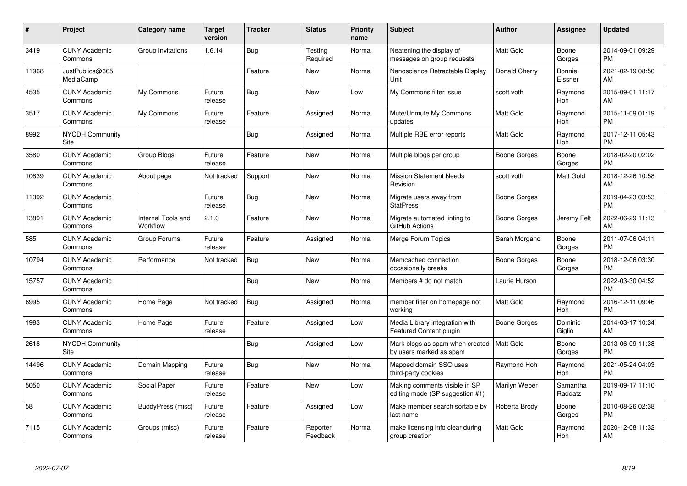| #     | Project                         | <b>Category name</b>           | <b>Target</b><br>version | <b>Tracker</b> | <b>Status</b>        | <b>Priority</b><br>name | <b>Subject</b>                                                   | Author              | <b>Assignee</b>     | <b>Updated</b>                |
|-------|---------------------------------|--------------------------------|--------------------------|----------------|----------------------|-------------------------|------------------------------------------------------------------|---------------------|---------------------|-------------------------------|
| 3419  | <b>CUNY Academic</b><br>Commons | Group Invitations              | 1.6.14                   | Bug            | Testing<br>Required  | Normal                  | Neatening the display of<br>messages on group requests           | <b>Matt Gold</b>    | Boone<br>Gorges     | 2014-09-01 09:29<br><b>PM</b> |
| 11968 | JustPublics@365<br>MediaCamp    |                                |                          | Feature        | New                  | Normal                  | Nanoscience Retractable Display<br>Unit                          | Donald Cherry       | Bonnie<br>Eissner   | 2021-02-19 08:50<br>AM        |
| 4535  | <b>CUNY Academic</b><br>Commons | My Commons                     | Future<br>release        | Bug            | <b>New</b>           | Low                     | My Commons filter issue                                          | scott voth          | Raymond<br>Hoh      | 2015-09-01 11:17<br>AM        |
| 3517  | <b>CUNY Academic</b><br>Commons | My Commons                     | Future<br>release        | Feature        | Assigned             | Normal                  | Mute/Unmute My Commons<br>updates                                | <b>Matt Gold</b>    | Raymond<br>Hoh      | 2015-11-09 01:19<br><b>PM</b> |
| 8992  | <b>NYCDH Community</b><br>Site  |                                |                          | Bug            | Assigned             | Normal                  | Multiple RBE error reports                                       | <b>Matt Gold</b>    | Raymond<br>Hoh      | 2017-12-11 05:43<br><b>PM</b> |
| 3580  | <b>CUNY Academic</b><br>Commons | <b>Group Blogs</b>             | Future<br>release        | Feature        | <b>New</b>           | Normal                  | Multiple blogs per group                                         | Boone Gorges        | Boone<br>Gorges     | 2018-02-20 02:02<br><b>PM</b> |
| 10839 | <b>CUNY Academic</b><br>Commons | About page                     | Not tracked              | Support        | New                  | Normal                  | <b>Mission Statement Needs</b><br>Revision                       | scott voth          | Matt Gold           | 2018-12-26 10:58<br>AM        |
| 11392 | <b>CUNY Academic</b><br>Commons |                                | Future<br>release        | Bug            | <b>New</b>           | Normal                  | Migrate users away from<br><b>StatPress</b>                      | Boone Gorges        |                     | 2019-04-23 03:53<br><b>PM</b> |
| 13891 | <b>CUNY Academic</b><br>Commons | Internal Tools and<br>Workflow | 2.1.0                    | Feature        | <b>New</b>           | Normal                  | Migrate automated linting to<br>GitHub Actions                   | <b>Boone Gorges</b> | Jeremy Felt         | 2022-06-29 11:13<br>AM        |
| 585   | <b>CUNY Academic</b><br>Commons | Group Forums                   | Future<br>release        | Feature        | Assigned             | Normal                  | Merge Forum Topics                                               | Sarah Morgano       | Boone<br>Gorges     | 2011-07-06 04:11<br><b>PM</b> |
| 10794 | <b>CUNY Academic</b><br>Commons | Performance                    | Not tracked              | Bug            | <b>New</b>           | Normal                  | Memcached connection<br>occasionally breaks                      | Boone Gorges        | Boone<br>Gorges     | 2018-12-06 03:30<br>PM        |
| 15757 | <b>CUNY Academic</b><br>Commons |                                |                          | <b>Bug</b>     | <b>New</b>           | Normal                  | Members # do not match                                           | Laurie Hurson       |                     | 2022-03-30 04:52<br><b>PM</b> |
| 6995  | <b>CUNY Academic</b><br>Commons | Home Page                      | Not tracked              | Bug            | Assigned             | Normal                  | member filter on homepage not<br>working                         | <b>Matt Gold</b>    | Raymond<br>Hoh      | 2016-12-11 09:46<br><b>PM</b> |
| 1983  | <b>CUNY Academic</b><br>Commons | Home Page                      | Future<br>release        | Feature        | Assigned             | Low                     | Media Library integration with<br>Featured Content plugin        | Boone Gorges        | Dominic<br>Giglio   | 2014-03-17 10:34<br>AM        |
| 2618  | <b>NYCDH Community</b><br>Site  |                                |                          | Bug            | Assigned             | Low                     | Mark blogs as spam when created<br>by users marked as spam       | Matt Gold           | Boone<br>Gorges     | 2013-06-09 11:38<br><b>PM</b> |
| 14496 | <b>CUNY Academic</b><br>Commons | Domain Mapping                 | Future<br>release        | Bug            | <b>New</b>           | Normal                  | Mapped domain SSO uses<br>third-party cookies                    | Raymond Hoh         | Raymond<br>Hoh      | 2021-05-24 04:03<br><b>PM</b> |
| 5050  | <b>CUNY Academic</b><br>Commons | Social Paper                   | Future<br>release        | Feature        | <b>New</b>           | Low                     | Making comments visible in SP<br>editing mode (SP suggestion #1) | Marilyn Weber       | Samantha<br>Raddatz | 2019-09-17 11:10<br><b>PM</b> |
| 58    | <b>CUNY Academic</b><br>Commons | BuddyPress (misc)              | Future<br>release        | Feature        | Assigned             | Low                     | Make member search sortable by<br>last name                      | Roberta Brody       | Boone<br>Gorges     | 2010-08-26 02:38<br><b>PM</b> |
| 7115  | <b>CUNY Academic</b><br>Commons | Groups (misc)                  | Future<br>release        | Feature        | Reporter<br>Feedback | Normal                  | make licensing info clear during<br>group creation               | <b>Matt Gold</b>    | Raymond<br>Hoh      | 2020-12-08 11:32<br>AM        |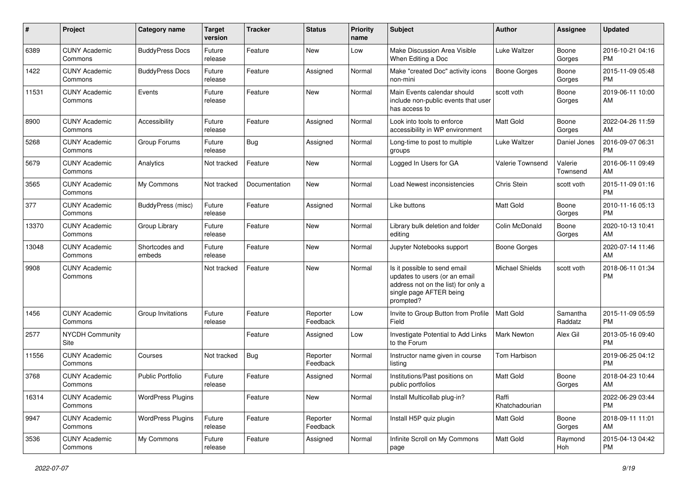| #     | Project                         | <b>Category name</b>     | <b>Target</b><br>version | <b>Tracker</b> | <b>Status</b>        | <b>Priority</b><br>name | <b>Subject</b>                                                                                                                               | Author                  | <b>Assignee</b>     | <b>Updated</b>                |
|-------|---------------------------------|--------------------------|--------------------------|----------------|----------------------|-------------------------|----------------------------------------------------------------------------------------------------------------------------------------------|-------------------------|---------------------|-------------------------------|
| 6389  | <b>CUNY Academic</b><br>Commons | <b>BuddyPress Docs</b>   | Future<br>release        | Feature        | <b>New</b>           | Low                     | Make Discussion Area Visible<br>When Editing a Doc                                                                                           | Luke Waltzer            | Boone<br>Gorges     | 2016-10-21 04:16<br>PM        |
| 1422  | <b>CUNY Academic</b><br>Commons | <b>BuddyPress Docs</b>   | Future<br>release        | Feature        | Assigned             | Normal                  | Make "created Doc" activity icons<br>non-mini                                                                                                | <b>Boone Gorges</b>     | Boone<br>Gorges     | 2015-11-09 05:48<br><b>PM</b> |
| 11531 | <b>CUNY Academic</b><br>Commons | Events                   | Future<br>release        | Feature        | <b>New</b>           | Normal                  | Main Events calendar should<br>include non-public events that user<br>has access to                                                          | scott voth              | Boone<br>Gorges     | 2019-06-11 10:00<br>AM        |
| 8900  | <b>CUNY Academic</b><br>Commons | Accessibility            | Future<br>release        | Feature        | Assigned             | Normal                  | Look into tools to enforce<br>accessibility in WP environment                                                                                | <b>Matt Gold</b>        | Boone<br>Gorges     | 2022-04-26 11:59<br>AM        |
| 5268  | <b>CUNY Academic</b><br>Commons | Group Forums             | Future<br>release        | Bug            | Assigned             | Normal                  | Long-time to post to multiple<br>groups                                                                                                      | Luke Waltzer            | Daniel Jones        | 2016-09-07 06:31<br><b>PM</b> |
| 5679  | <b>CUNY Academic</b><br>Commons | Analytics                | Not tracked              | Feature        | <b>New</b>           | Normal                  | Logged In Users for GA                                                                                                                       | Valerie Townsend        | Valerie<br>Townsend | 2016-06-11 09:49<br>AM        |
| 3565  | <b>CUNY Academic</b><br>Commons | My Commons               | Not tracked              | Documentation  | <b>New</b>           | Normal                  | Load Newest inconsistencies                                                                                                                  | Chris Stein             | scott voth          | 2015-11-09 01:16<br><b>PM</b> |
| 377   | <b>CUNY Academic</b><br>Commons | BuddyPress (misc)        | Future<br>release        | Feature        | Assigned             | Normal                  | Like buttons                                                                                                                                 | <b>Matt Gold</b>        | Boone<br>Gorges     | 2010-11-16 05:13<br><b>PM</b> |
| 13370 | <b>CUNY Academic</b><br>Commons | Group Library            | Future<br>release        | Feature        | <b>New</b>           | Normal                  | Library bulk deletion and folder<br>editing                                                                                                  | Colin McDonald          | Boone<br>Gorges     | 2020-10-13 10:41<br>AM        |
| 13048 | <b>CUNY Academic</b><br>Commons | Shortcodes and<br>embeds | Future<br>release        | Feature        | New                  | Normal                  | Jupyter Notebooks support                                                                                                                    | Boone Gorges            |                     | 2020-07-14 11:46<br>AM        |
| 9908  | <b>CUNY Academic</b><br>Commons |                          | Not tracked              | Feature        | <b>New</b>           | Normal                  | Is it possible to send email<br>updates to users (or an email<br>address not on the list) for only a<br>single page AFTER being<br>prompted? | <b>Michael Shields</b>  | scott voth          | 2018-06-11 01:34<br><b>PM</b> |
| 1456  | <b>CUNY Academic</b><br>Commons | Group Invitations        | Future<br>release        | Feature        | Reporter<br>Feedback | Low                     | Invite to Group Button from Profile<br>Field                                                                                                 | Matt Gold               | Samantha<br>Raddatz | 2015-11-09 05:59<br><b>PM</b> |
| 2577  | <b>NYCDH Community</b><br>Site  |                          |                          | Feature        | Assigned             | Low                     | Investigate Potential to Add Links<br>to the Forum                                                                                           | <b>Mark Newton</b>      | Alex Gil            | 2013-05-16 09:40<br><b>PM</b> |
| 11556 | <b>CUNY Academic</b><br>Commons | Courses                  | Not tracked              | <b>Bug</b>     | Reporter<br>Feedback | Normal                  | Instructor name given in course<br>listing                                                                                                   | Tom Harbison            |                     | 2019-06-25 04:12<br><b>PM</b> |
| 3768  | <b>CUNY Academic</b><br>Commons | <b>Public Portfolio</b>  | Future<br>release        | Feature        | Assigned             | Normal                  | Institutions/Past positions on<br>public portfolios                                                                                          | <b>Matt Gold</b>        | Boone<br>Gorges     | 2018-04-23 10:44<br>AM        |
| 16314 | <b>CUNY Academic</b><br>Commons | <b>WordPress Plugins</b> |                          | Feature        | New                  | Normal                  | Install Multicollab plug-in?                                                                                                                 | Raffi<br>Khatchadourian |                     | 2022-06-29 03:44<br><b>PM</b> |
| 9947  | <b>CUNY Academic</b><br>Commons | <b>WordPress Plugins</b> | Future<br>release        | Feature        | Reporter<br>Feedback | Normal                  | Install H5P quiz plugin                                                                                                                      | Matt Gold               | Boone<br>Gorges     | 2018-09-11 11:01<br>AM        |
| 3536  | <b>CUNY Academic</b><br>Commons | My Commons               | Future<br>release        | Feature        | Assigned             | Normal                  | Infinite Scroll on My Commons<br>page                                                                                                        | Matt Gold               | Raymond<br>Hoh      | 2015-04-13 04:42<br><b>PM</b> |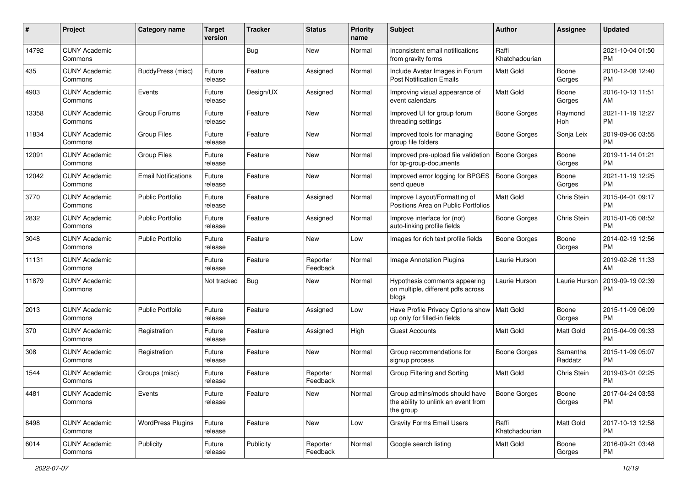| #     | Project                         | <b>Category name</b>       | <b>Target</b><br>version | <b>Tracker</b> | <b>Status</b>        | <b>Priority</b><br>name | <b>Subject</b>                                                                    | Author                  | <b>Assignee</b>     | <b>Updated</b>                |
|-------|---------------------------------|----------------------------|--------------------------|----------------|----------------------|-------------------------|-----------------------------------------------------------------------------------|-------------------------|---------------------|-------------------------------|
| 14792 | <b>CUNY Academic</b><br>Commons |                            |                          | <b>Bug</b>     | New                  | Normal                  | Inconsistent email notifications<br>from gravity forms                            | Raffi<br>Khatchadourian |                     | 2021-10-04 01:50<br><b>PM</b> |
| 435   | <b>CUNY Academic</b><br>Commons | BuddyPress (misc)          | Future<br>release        | Feature        | Assigned             | Normal                  | Include Avatar Images in Forum<br><b>Post Notification Emails</b>                 | Matt Gold               | Boone<br>Gorges     | 2010-12-08 12:40<br><b>PM</b> |
| 4903  | <b>CUNY Academic</b><br>Commons | Events                     | Future<br>release        | Design/UX      | Assigned             | Normal                  | Improving visual appearance of<br>event calendars                                 | Matt Gold               | Boone<br>Gorges     | 2016-10-13 11:51<br>AM        |
| 13358 | <b>CUNY Academic</b><br>Commons | Group Forums               | Future<br>release        | Feature        | New                  | Normal                  | Improved UI for group forum<br>threading settings                                 | <b>Boone Gorges</b>     | Raymond<br>Hoh      | 2021-11-19 12:27<br><b>PM</b> |
| 11834 | <b>CUNY Academic</b><br>Commons | <b>Group Files</b>         | Future<br>release        | Feature        | New                  | Normal                  | Improved tools for managing<br>group file folders                                 | <b>Boone Gorges</b>     | Sonja Leix          | 2019-09-06 03:55<br><b>PM</b> |
| 12091 | <b>CUNY Academic</b><br>Commons | <b>Group Files</b>         | Future<br>release        | Feature        | New                  | Normal                  | Improved pre-upload file validation<br>for bp-group-documents                     | Boone Gorges            | Boone<br>Gorges     | 2019-11-14 01:21<br><b>PM</b> |
| 12042 | <b>CUNY Academic</b><br>Commons | <b>Email Notifications</b> | Future<br>release        | Feature        | New                  | Normal                  | Improved error logging for BPGES<br>send queue                                    | <b>Boone Gorges</b>     | Boone<br>Gorges     | 2021-11-19 12:25<br><b>PM</b> |
| 3770  | <b>CUNY Academic</b><br>Commons | Public Portfolio           | Future<br>release        | Feature        | Assigned             | Normal                  | Improve Layout/Formatting of<br>Positions Area on Public Portfolios               | <b>Matt Gold</b>        | Chris Stein         | 2015-04-01 09:17<br><b>PM</b> |
| 2832  | <b>CUNY Academic</b><br>Commons | <b>Public Portfolio</b>    | Future<br>release        | Feature        | Assigned             | Normal                  | Improve interface for (not)<br>auto-linking profile fields                        | <b>Boone Gorges</b>     | Chris Stein         | 2015-01-05 08:52<br><b>PM</b> |
| 3048  | <b>CUNY Academic</b><br>Commons | <b>Public Portfolio</b>    | Future<br>release        | Feature        | New                  | Low                     | Images for rich text profile fields                                               | <b>Boone Gorges</b>     | Boone<br>Gorges     | 2014-02-19 12:56<br><b>PM</b> |
| 11131 | <b>CUNY Academic</b><br>Commons |                            | Future<br>release        | Feature        | Reporter<br>Feedback | Normal                  | Image Annotation Plugins                                                          | Laurie Hurson           |                     | 2019-02-26 11:33<br>AM        |
| 11879 | <b>CUNY Academic</b><br>Commons |                            | Not tracked              | <b>Bug</b>     | New                  | Normal                  | Hypothesis comments appearing<br>on multiple, different pdfs across<br>blogs      | Laurie Hurson           | Laurie Hurson       | 2019-09-19 02:39<br><b>PM</b> |
| 2013  | <b>CUNY Academic</b><br>Commons | <b>Public Portfolio</b>    | Future<br>release        | Feature        | Assigned             | Low                     | Have Profile Privacy Options show<br>up only for filled-in fields                 | Matt Gold               | Boone<br>Gorges     | 2015-11-09 06:09<br><b>PM</b> |
| 370   | <b>CUNY Academic</b><br>Commons | Registration               | Future<br>release        | Feature        | Assigned             | High                    | <b>Guest Accounts</b>                                                             | <b>Matt Gold</b>        | Matt Gold           | 2015-04-09 09:33<br><b>PM</b> |
| 308   | <b>CUNY Academic</b><br>Commons | Registration               | Future<br>release        | Feature        | New                  | Normal                  | Group recommendations for<br>signup process                                       | <b>Boone Gorges</b>     | Samantha<br>Raddatz | 2015-11-09 05:07<br><b>PM</b> |
| 1544  | <b>CUNY Academic</b><br>Commons | Groups (misc)              | Future<br>release        | Feature        | Reporter<br>Feedback | Normal                  | Group Filtering and Sorting                                                       | <b>Matt Gold</b>        | Chris Stein         | 2019-03-01 02:25<br><b>PM</b> |
| 4481  | <b>CUNY Academic</b><br>Commons | Events                     | Future<br>release        | Feature        | New                  | Normal                  | Group admins/mods should have<br>the ability to unlink an event from<br>the group | Boone Gorges            | Boone<br>Gorges     | 2017-04-24 03:53<br><b>PM</b> |
| 8498  | <b>CUNY Academic</b><br>Commons | <b>WordPress Plugins</b>   | Future<br>release        | Feature        | New                  | Low                     | <b>Gravity Forms Email Users</b>                                                  | Raffi<br>Khatchadourian | Matt Gold           | 2017-10-13 12:58<br><b>PM</b> |
| 6014  | <b>CUNY Academic</b><br>Commons | Publicity                  | Future<br>release        | Publicity      | Reporter<br>Feedback | Normal                  | Google search listing                                                             | Matt Gold               | Boone<br>Gorges     | 2016-09-21 03:48<br><b>PM</b> |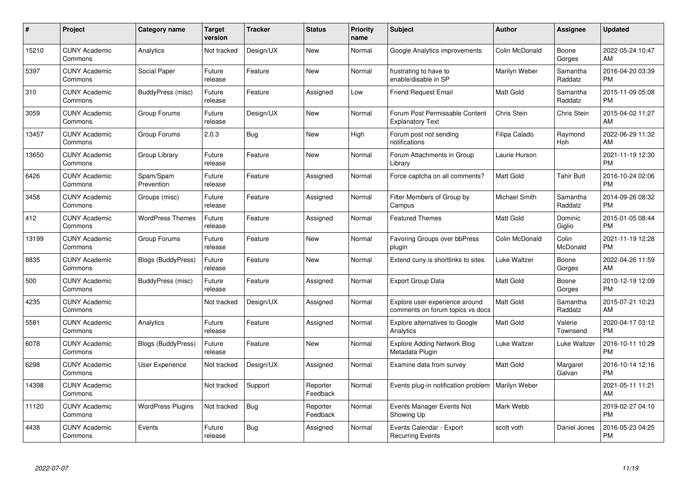| $\pmb{\#}$ | Project                         | <b>Category name</b>      | <b>Target</b><br>version | <b>Tracker</b> | <b>Status</b>        | <b>Priority</b><br>name | <b>Subject</b>                                                     | <b>Author</b>    | <b>Assignee</b>     | <b>Updated</b>                |
|------------|---------------------------------|---------------------------|--------------------------|----------------|----------------------|-------------------------|--------------------------------------------------------------------|------------------|---------------------|-------------------------------|
| 15210      | <b>CUNY Academic</b><br>Commons | Analytics                 | Not tracked              | Design/UX      | <b>New</b>           | Normal                  | Google Analytics improvements                                      | Colin McDonald   | Boone<br>Gorges     | 2022-05-24 10:47<br>AM        |
| 5397       | <b>CUNY Academic</b><br>Commons | Social Paper              | Future<br>release        | Feature        | <b>New</b>           | Normal                  | frustrating to have to<br>enable/disable in SP                     | Marilyn Weber    | Samantha<br>Raddatz | 2016-04-20 03:39<br><b>PM</b> |
| 310        | <b>CUNY Academic</b><br>Commons | BuddyPress (misc)         | Future<br>release        | Feature        | Assigned             | Low                     | Friend Request Email                                               | Matt Gold        | Samantha<br>Raddatz | 2015-11-09 05:08<br><b>PM</b> |
| 3059       | <b>CUNY Academic</b><br>Commons | Group Forums              | Future<br>release        | Design/UX      | <b>New</b>           | Normal                  | Forum Post Permissable Content<br><b>Explanatory Text</b>          | Chris Stein      | Chris Stein         | 2015-04-02 11:27<br>AM        |
| 13457      | <b>CUNY Academic</b><br>Commons | Group Forums              | 2.0.3                    | <b>Bug</b>     | <b>New</b>           | High                    | Forum post not sending<br>notifications                            | Filipa Calado    | Raymond<br>Hoh      | 2022-06-29 11:32<br>AM        |
| 13650      | <b>CUNY Academic</b><br>Commons | Group Library             | Future<br>release        | Feature        | New                  | Normal                  | Forum Attachments in Group<br>Library                              | Laurie Hurson    |                     | 2021-11-19 12:30<br><b>PM</b> |
| 6426       | <b>CUNY Academic</b><br>Commons | Spam/Spam<br>Prevention   | Future<br>release        | Feature        | Assigned             | Normal                  | Force captcha on all comments?                                     | Matt Gold        | <b>Tahir Butt</b>   | 2016-10-24 02:06<br><b>PM</b> |
| 3458       | <b>CUNY Academic</b><br>Commons | Groups (misc)             | Future<br>release        | Feature        | Assigned             | Normal                  | Filter Members of Group by<br>Campus                               | Michael Smith    | Samantha<br>Raddatz | 2014-09-26 08:32<br><b>PM</b> |
| 412        | <b>CUNY Academic</b><br>Commons | <b>WordPress Themes</b>   | Future<br>release        | Feature        | Assigned             | Normal                  | <b>Featured Themes</b>                                             | Matt Gold        | Dominic<br>Giglio   | 2015-01-05 08:44<br><b>PM</b> |
| 13199      | <b>CUNY Academic</b><br>Commons | Group Forums              | Future<br>release        | Feature        | <b>New</b>           | Normal                  | Favoring Groups over bbPress<br>plugin                             | Colin McDonald   | Colin<br>McDonald   | 2021-11-19 12:28<br>PM        |
| 8835       | <b>CUNY Academic</b><br>Commons | Blogs (BuddyPress)        | Future<br>release        | Feature        | New                  | Normal                  | Extend cuny.is shortlinks to sites                                 | Luke Waltzer     | Boone<br>Gorges     | 2022-04-26 11:59<br>AM        |
| 500        | <b>CUNY Academic</b><br>Commons | BuddyPress (misc)         | Future<br>release        | Feature        | Assigned             | Normal                  | <b>Export Group Data</b>                                           | Matt Gold        | Boone<br>Gorges     | 2010-12-19 12:09<br><b>PM</b> |
| 4235       | <b>CUNY Academic</b><br>Commons |                           | Not tracked              | Design/UX      | Assigned             | Normal                  | Explore user experience around<br>comments on forum topics vs docs | Matt Gold        | Samantha<br>Raddatz | 2015-07-21 10:23<br>AM        |
| 5581       | <b>CUNY Academic</b><br>Commons | Analytics                 | Future<br>release        | Feature        | Assigned             | Normal                  | <b>Explore alternatives to Google</b><br>Analytics                 | <b>Matt Gold</b> | Valerie<br>Townsend | 2020-04-17 03:12<br><b>PM</b> |
| 6078       | <b>CUNY Academic</b><br>Commons | <b>Blogs (BuddyPress)</b> | Future<br>release        | Feature        | New                  | Normal                  | <b>Explore Adding Network Blog</b><br>Metadata Plugin              | Luke Waltzer     | Luke Waltzer        | 2016-10-11 10:29<br><b>PM</b> |
| 6298       | <b>CUNY Academic</b><br>Commons | <b>User Experience</b>    | Not tracked              | Design/UX      | Assigned             | Normal                  | Examine data from survey                                           | <b>Matt Gold</b> | Margaret<br>Galvan  | 2016-10-14 12:16<br><b>PM</b> |
| 14398      | <b>CUNY Academic</b><br>Commons |                           | Not tracked              | Support        | Reporter<br>Feedback | Normal                  | Events plug-in notification problem   Marilyn Weber                |                  |                     | 2021-05-11 11:21<br>AM        |
| 11120      | <b>CUNY Academic</b><br>Commons | <b>WordPress Plugins</b>  | Not tracked              | Bug            | Reporter<br>Feedback | Normal                  | Events Manager Events Not<br>Showing Up                            | Mark Webb        |                     | 2019-02-27 04:10<br><b>PM</b> |
| 4438       | <b>CUNY Academic</b><br>Commons | Events                    | Future<br>release        | <b>Bug</b>     | Assigned             | Normal                  | Events Calendar - Export<br><b>Recurring Events</b>                | scott voth       | Daniel Jones        | 2016-05-23 04:25<br><b>PM</b> |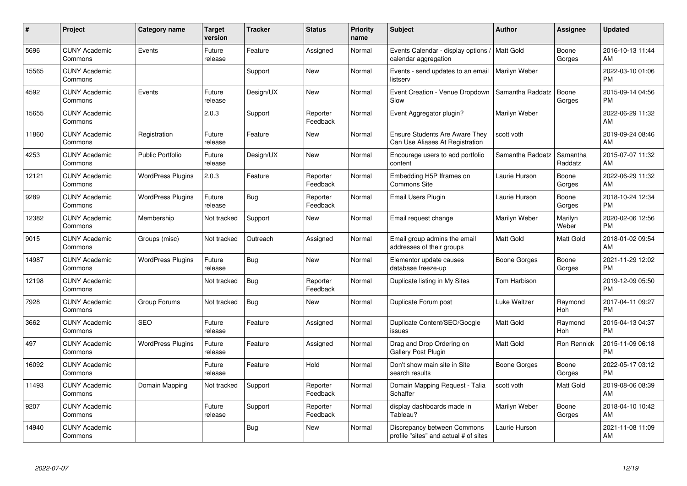| #     | Project                         | <b>Category name</b>     | Target<br>version | <b>Tracker</b> | <b>Status</b>        | <b>Priority</b><br>name | <b>Subject</b>                                                       | <b>Author</b>    | <b>Assignee</b>     | <b>Updated</b>                |
|-------|---------------------------------|--------------------------|-------------------|----------------|----------------------|-------------------------|----------------------------------------------------------------------|------------------|---------------------|-------------------------------|
| 5696  | <b>CUNY Academic</b><br>Commons | Events                   | Future<br>release | Feature        | Assigned             | Normal                  | Events Calendar - display options /<br>calendar aggregation          | l Matt Gold      | Boone<br>Gorges     | 2016-10-13 11:44<br>AM        |
| 15565 | <b>CUNY Academic</b><br>Commons |                          |                   | Support        | <b>New</b>           | Normal                  | Events - send updates to an email<br>listserv                        | Marilyn Weber    |                     | 2022-03-10 01:06<br><b>PM</b> |
| 4592  | <b>CUNY Academic</b><br>Commons | Events                   | Future<br>release | Design/UX      | <b>New</b>           | Normal                  | Event Creation - Venue Dropdown<br>Slow                              | Samantha Raddatz | Boone<br>Gorges     | 2015-09-14 04:56<br><b>PM</b> |
| 15655 | <b>CUNY Academic</b><br>Commons |                          | 2.0.3             | Support        | Reporter<br>Feedback | Normal                  | Event Aggregator plugin?                                             | Marilyn Weber    |                     | 2022-06-29 11:32<br>AM        |
| 11860 | <b>CUNY Academic</b><br>Commons | Registration             | Future<br>release | Feature        | <b>New</b>           | Normal                  | Ensure Students Are Aware They<br>Can Use Aliases At Registration    | scott voth       |                     | 2019-09-24 08:46<br>AM        |
| 4253  | <b>CUNY Academic</b><br>Commons | <b>Public Portfolio</b>  | Future<br>release | Design/UX      | New                  | Normal                  | Encourage users to add portfolio<br>content                          | Samantha Raddatz | Samantha<br>Raddatz | 2015-07-07 11:32<br>AM        |
| 12121 | <b>CUNY Academic</b><br>Commons | <b>WordPress Plugins</b> | 2.0.3             | Feature        | Reporter<br>Feedback | Normal                  | Embedding H5P Iframes on<br>Commons Site                             | Laurie Hurson    | Boone<br>Gorges     | 2022-06-29 11:32<br>AM        |
| 9289  | <b>CUNY Academic</b><br>Commons | <b>WordPress Plugins</b> | Future<br>release | <b>Bug</b>     | Reporter<br>Feedback | Normal                  | Email Users Plugin                                                   | Laurie Hurson    | Boone<br>Gorges     | 2018-10-24 12:34<br><b>PM</b> |
| 12382 | <b>CUNY Academic</b><br>Commons | Membership               | Not tracked       | Support        | <b>New</b>           | Normal                  | Email request change                                                 | Marilyn Weber    | Marilyn<br>Weber    | 2020-02-06 12:56<br><b>PM</b> |
| 9015  | <b>CUNY Academic</b><br>Commons | Groups (misc)            | Not tracked       | Outreach       | Assigned             | Normal                  | Email group admins the email<br>addresses of their groups            | <b>Matt Gold</b> | Matt Gold           | 2018-01-02 09:54<br>AM        |
| 14987 | <b>CUNY Academic</b><br>Commons | <b>WordPress Plugins</b> | Future<br>release | <b>Bug</b>     | <b>New</b>           | Normal                  | Elementor update causes<br>database freeze-up                        | Boone Gorges     | Boone<br>Gorges     | 2021-11-29 12:02<br><b>PM</b> |
| 12198 | <b>CUNY Academic</b><br>Commons |                          | Not tracked       | <b>Bug</b>     | Reporter<br>Feedback | Normal                  | Duplicate listing in My Sites                                        | Tom Harbison     |                     | 2019-12-09 05:50<br><b>PM</b> |
| 7928  | <b>CUNY Academic</b><br>Commons | Group Forums             | Not tracked       | <b>Bug</b>     | <b>New</b>           | Normal                  | Duplicate Forum post                                                 | Luke Waltzer     | Raymond<br>Hoh      | 2017-04-11 09:27<br><b>PM</b> |
| 3662  | <b>CUNY Academic</b><br>Commons | <b>SEO</b>               | Future<br>release | Feature        | Assigned             | Normal                  | Duplicate Content/SEO/Google<br>issues                               | Matt Gold        | Raymond<br>Hoh      | 2015-04-13 04:37<br><b>PM</b> |
| 497   | <b>CUNY Academic</b><br>Commons | <b>WordPress Plugins</b> | Future<br>release | Feature        | Assigned             | Normal                  | Drag and Drop Ordering on<br>Gallery Post Plugin                     | Matt Gold        | Ron Rennick         | 2015-11-09 06:18<br><b>PM</b> |
| 16092 | <b>CUNY Academic</b><br>Commons |                          | Future<br>release | Feature        | Hold                 | Normal                  | Don't show main site in Site<br>search results                       | Boone Gorges     | Boone<br>Gorges     | 2022-05-17 03:12<br><b>PM</b> |
| 11493 | <b>CUNY Academic</b><br>Commons | Domain Mapping           | Not tracked       | Support        | Reporter<br>Feedback | Normal                  | Domain Mapping Request - Talia<br>Schaffer                           | scott voth       | Matt Gold           | 2019-08-06 08:39<br>AM        |
| 9207  | <b>CUNY Academic</b><br>Commons |                          | Future<br>release | Support        | Reporter<br>Feedback | Normal                  | display dashboards made in<br>Tableau?                               | Marilyn Weber    | Boone<br>Gorges     | 2018-04-10 10:42<br>AM        |
| 14940 | <b>CUNY Academic</b><br>Commons |                          |                   | <b>Bug</b>     | <b>New</b>           | Normal                  | Discrepancy between Commons<br>profile "sites" and actual # of sites | Laurie Hurson    |                     | 2021-11-08 11:09<br>AM        |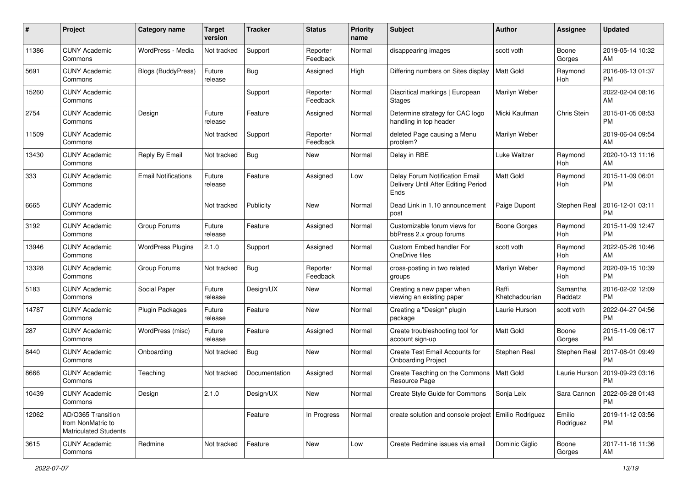| #     | Project                                                                 | <b>Category name</b>       | <b>Target</b><br>version | <b>Tracker</b> | <b>Status</b>        | <b>Priority</b><br>name | <b>Subject</b>                                                                | Author                  | <b>Assignee</b>     | <b>Updated</b>                |
|-------|-------------------------------------------------------------------------|----------------------------|--------------------------|----------------|----------------------|-------------------------|-------------------------------------------------------------------------------|-------------------------|---------------------|-------------------------------|
| 11386 | <b>CUNY Academic</b><br>Commons                                         | WordPress - Media          | Not tracked              | Support        | Reporter<br>Feedback | Normal                  | disappearing images                                                           | scott voth              | Boone<br>Gorges     | 2019-05-14 10:32<br>AM        |
| 5691  | <b>CUNY Academic</b><br>Commons                                         | <b>Blogs (BuddyPress)</b>  | Future<br>release        | <b>Bug</b>     | Assigned             | High                    | Differing numbers on Sites display                                            | <b>Matt Gold</b>        | Raymond<br>Hoh      | 2016-06-13 01:37<br><b>PM</b> |
| 15260 | <b>CUNY Academic</b><br>Commons                                         |                            |                          | Support        | Reporter<br>Feedback | Normal                  | Diacritical markings   European<br><b>Stages</b>                              | Marilyn Weber           |                     | 2022-02-04 08:16<br>AM        |
| 2754  | <b>CUNY Academic</b><br>Commons                                         | Design                     | Future<br>release        | Feature        | Assigned             | Normal                  | Determine strategy for CAC logo<br>handling in top header                     | Micki Kaufman           | Chris Stein         | 2015-01-05 08:53<br><b>PM</b> |
| 11509 | <b>CUNY Academic</b><br>Commons                                         |                            | Not tracked              | Support        | Reporter<br>Feedback | Normal                  | deleted Page causing a Menu<br>problem?                                       | Marilyn Weber           |                     | 2019-06-04 09:54<br>AM        |
| 13430 | <b>CUNY Academic</b><br>Commons                                         | Reply By Email             | Not tracked              | Bug            | New                  | Normal                  | Delay in RBE                                                                  | Luke Waltzer            | Raymond<br>Hoh      | 2020-10-13 11:16<br>AM        |
| 333   | <b>CUNY Academic</b><br>Commons                                         | <b>Email Notifications</b> | Future<br>release        | Feature        | Assigned             | Low                     | Delay Forum Notification Email<br>Delivery Until After Editing Period<br>Ends | <b>Matt Gold</b>        | Raymond<br>Hoh      | 2015-11-09 06:01<br><b>PM</b> |
| 6665  | <b>CUNY Academic</b><br>Commons                                         |                            | Not tracked              | Publicity      | New                  | Normal                  | Dead Link in 1.10 announcement<br>post                                        | Paige Dupont            | Stephen Real        | 2016-12-01 03:11<br><b>PM</b> |
| 3192  | <b>CUNY Academic</b><br>Commons                                         | Group Forums               | Future<br>release        | Feature        | Assigned             | Normal                  | Customizable forum views for<br>bbPress 2.x group forums                      | <b>Boone Gorges</b>     | Raymond<br>Hoh      | 2015-11-09 12:47<br><b>PM</b> |
| 13946 | <b>CUNY Academic</b><br>Commons                                         | <b>WordPress Plugins</b>   | 2.1.0                    | Support        | Assigned             | Normal                  | Custom Embed handler For<br>OneDrive files                                    | scott voth              | Raymond<br>Hoh      | 2022-05-26 10:46<br>AM        |
| 13328 | <b>CUNY Academic</b><br>Commons                                         | Group Forums               | Not tracked              | <b>Bug</b>     | Reporter<br>Feedback | Normal                  | cross-posting in two related<br>groups                                        | Marilyn Weber           | Raymond<br>Hoh      | 2020-09-15 10:39<br><b>PM</b> |
| 5183  | <b>CUNY Academic</b><br>Commons                                         | Social Paper               | Future<br>release        | Design/UX      | New                  | Normal                  | Creating a new paper when<br>viewing an existing paper                        | Raffi<br>Khatchadourian | Samantha<br>Raddatz | 2016-02-02 12:09<br><b>PM</b> |
| 14787 | <b>CUNY Academic</b><br>Commons                                         | <b>Plugin Packages</b>     | Future<br>release        | Feature        | New                  | Normal                  | Creating a "Design" plugin<br>package                                         | Laurie Hurson           | scott voth          | 2022-04-27 04:56<br><b>PM</b> |
| 287   | <b>CUNY Academic</b><br>Commons                                         | WordPress (misc)           | Future<br>release        | Feature        | Assigned             | Normal                  | Create troubleshooting tool for<br>account sign-up                            | <b>Matt Gold</b>        | Boone<br>Gorges     | 2015-11-09 06:17<br><b>PM</b> |
| 8440  | <b>CUNY Academic</b><br>Commons                                         | Onboarding                 | Not tracked              | Bug            | New                  | Normal                  | Create Test Email Accounts for<br><b>Onboarding Project</b>                   | Stephen Real            | Stephen Real        | 2017-08-01 09:49<br><b>PM</b> |
| 8666  | <b>CUNY Academic</b><br>Commons                                         | Teaching                   | Not tracked              | Documentation  | Assigned             | Normal                  | Create Teaching on the Commons<br>Resource Page                               | Matt Gold               | Laurie Hurson       | 2019-09-23 03:16<br><b>PM</b> |
| 10439 | <b>CUNY Academic</b><br>Commons                                         | Design                     | 2.1.0                    | Design/UX      | New                  | Normal                  | Create Style Guide for Commons                                                | Sonja Leix              | Sara Cannon         | 2022-06-28 01:43<br><b>PM</b> |
| 12062 | AD/O365 Transition<br>from NonMatric to<br><b>Matriculated Students</b> |                            |                          | Feature        | In Progress          | Normal                  | create solution and console project Emilio Rodriguez                          |                         | Emilio<br>Rodriguez | 2019-11-12 03:56<br><b>PM</b> |
| 3615  | <b>CUNY Academic</b><br>Commons                                         | Redmine                    | Not tracked              | Feature        | New                  | Low                     | Create Redmine issues via email                                               | Dominic Giglio          | Boone<br>Gorges     | 2017-11-16 11:36<br>AM        |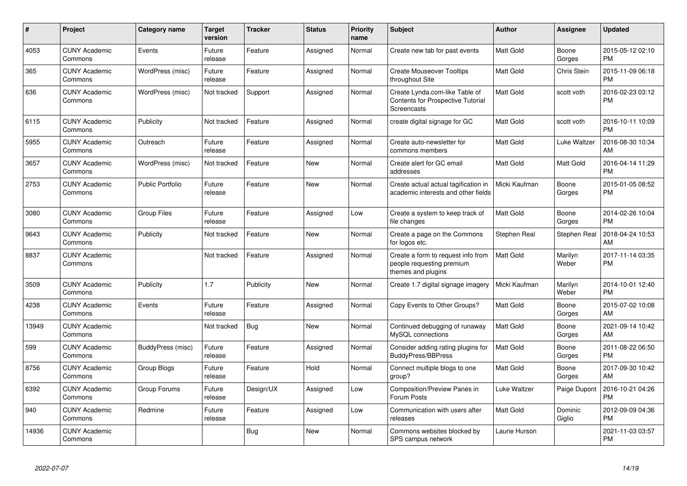| #     | Project                         | <b>Category name</b>    | <b>Target</b><br>version | <b>Tracker</b> | <b>Status</b> | <b>Priority</b><br>name | <b>Subject</b>                                                                            | Author           | <b>Assignee</b>    | <b>Updated</b>                |
|-------|---------------------------------|-------------------------|--------------------------|----------------|---------------|-------------------------|-------------------------------------------------------------------------------------------|------------------|--------------------|-------------------------------|
| 4053  | <b>CUNY Academic</b><br>Commons | Events                  | Future<br>release        | Feature        | Assigned      | Normal                  | Create new tab for past events                                                            | <b>Matt Gold</b> | Boone<br>Gorges    | 2015-05-12 02:10<br><b>PM</b> |
| 365   | <b>CUNY Academic</b><br>Commons | WordPress (misc)        | Future<br>release        | Feature        | Assigned      | Normal                  | <b>Create Mouseover Tooltips</b><br>throughout Site                                       | <b>Matt Gold</b> | <b>Chris Stein</b> | 2015-11-09 06:18<br><b>PM</b> |
| 636   | <b>CUNY Academic</b><br>Commons | WordPress (misc)        | Not tracked              | Support        | Assigned      | Normal                  | Create Lynda.com-like Table of<br><b>Contents for Prospective Tutorial</b><br>Screencasts | <b>Matt Gold</b> | scott voth         | 2016-02-23 03:12<br><b>PM</b> |
| 6115  | <b>CUNY Academic</b><br>Commons | Publicity               | Not tracked              | Feature        | Assigned      | Normal                  | create digital signage for GC                                                             | <b>Matt Gold</b> | scott voth         | 2016-10-11 10:09<br><b>PM</b> |
| 5955  | <b>CUNY Academic</b><br>Commons | Outreach                | Future<br>release        | Feature        | Assigned      | Normal                  | Create auto-newsletter for<br>commons members                                             | Matt Gold        | Luke Waltzer       | 2016-08-30 10:34<br>AM        |
| 3657  | <b>CUNY Academic</b><br>Commons | WordPress (misc)        | Not tracked              | Feature        | <b>New</b>    | Normal                  | Create alert for GC email<br>addresses                                                    | <b>Matt Gold</b> | Matt Gold          | 2016-04-14 11:29<br><b>PM</b> |
| 2753  | <b>CUNY Academic</b><br>Commons | <b>Public Portfolio</b> | Future<br>release        | Feature        | <b>New</b>    | Normal                  | Create actual actual tagification in<br>academic interests and other fields               | Micki Kaufman    | Boone<br>Gorges    | 2015-01-05 08:52<br><b>PM</b> |
| 3080  | <b>CUNY Academic</b><br>Commons | <b>Group Files</b>      | Future<br>release        | Feature        | Assigned      | Low                     | Create a system to keep track of<br>file changes                                          | <b>Matt Gold</b> | Boone<br>Gorges    | 2014-02-26 10:04<br><b>PM</b> |
| 9643  | <b>CUNY Academic</b><br>Commons | Publicity               | Not tracked              | Feature        | New           | Normal                  | Create a page on the Commons<br>for logos etc.                                            | Stephen Real     | Stephen Real       | 2018-04-24 10:53<br>AM        |
| 8837  | <b>CUNY Academic</b><br>Commons |                         | Not tracked              | Feature        | Assigned      | Normal                  | Create a form to request info from<br>people requesting premium<br>themes and plugins     | Matt Gold        | Marilyn<br>Weber   | 2017-11-14 03:35<br><b>PM</b> |
| 3509  | <b>CUNY Academic</b><br>Commons | Publicity               | 1.7                      | Publicity      | New           | Normal                  | Create 1.7 digital signage imagery                                                        | Micki Kaufman    | Marilyn<br>Weber   | 2014-10-01 12:40<br><b>PM</b> |
| 4238  | <b>CUNY Academic</b><br>Commons | Events                  | Future<br>release        | Feature        | Assigned      | Normal                  | Copy Events to Other Groups?                                                              | <b>Matt Gold</b> | Boone<br>Gorges    | 2015-07-02 10:08<br>AM        |
| 13949 | <b>CUNY Academic</b><br>Commons |                         | Not tracked              | <b>Bug</b>     | New           | Normal                  | Continued debugging of runaway<br>MySQL connections                                       | <b>Matt Gold</b> | Boone<br>Gorges    | 2021-09-14 10:42<br>AM        |
| 599   | <b>CUNY Academic</b><br>Commons | BuddyPress (misc)       | Future<br>release        | Feature        | Assigned      | Normal                  | Consider adding rating plugins for<br><b>BuddyPress/BBPress</b>                           | <b>Matt Gold</b> | Boone<br>Gorges    | 2011-08-22 06:50<br><b>PM</b> |
| 8756  | <b>CUNY Academic</b><br>Commons | Group Blogs             | Future<br>release        | Feature        | Hold          | Normal                  | Connect multiple blogs to one<br>group?                                                   | <b>Matt Gold</b> | Boone<br>Gorges    | 2017-09-30 10:42<br>AM        |
| 6392  | <b>CUNY Academic</b><br>Commons | Group Forums            | Future<br>release        | Design/UX      | Assigned      | Low                     | Composition/Preview Panes in<br>Forum Posts                                               | Luke Waltzer     | Paige Dupont       | 2016-10-21 04:26<br><b>PM</b> |
| 940   | <b>CUNY Academic</b><br>Commons | Redmine                 | Future<br>release        | Feature        | Assigned      | Low                     | Communication with users after<br>releases                                                | <b>Matt Gold</b> | Dominic<br>Giglio  | 2012-09-09 04:36<br><b>PM</b> |
| 14936 | <b>CUNY Academic</b><br>Commons |                         |                          | Bug            | <b>New</b>    | Normal                  | Commons websites blocked by<br>SPS campus network                                         | Laurie Hurson    |                    | 2021-11-03 03:57<br><b>PM</b> |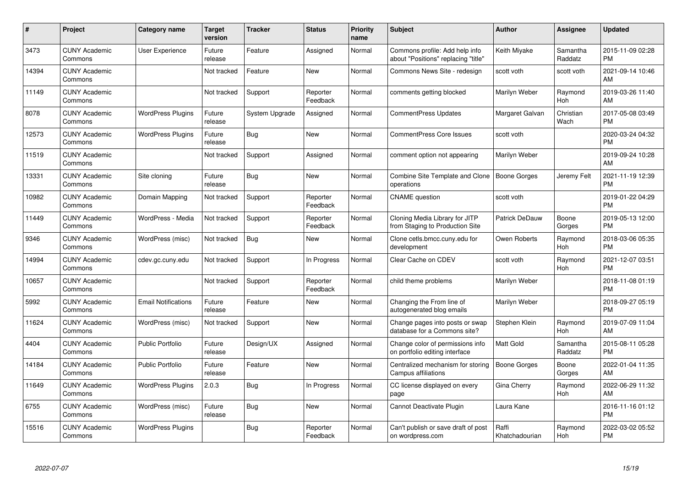| #     | Project                         | Category name              | <b>Target</b><br>version | <b>Tracker</b> | <b>Status</b>        | Priority<br>name | <b>Subject</b>                                                        | <b>Author</b>           | <b>Assignee</b>     | <b>Updated</b>                |
|-------|---------------------------------|----------------------------|--------------------------|----------------|----------------------|------------------|-----------------------------------------------------------------------|-------------------------|---------------------|-------------------------------|
| 3473  | <b>CUNY Academic</b><br>Commons | User Experience            | Future<br>release        | Feature        | Assigned             | Normal           | Commons profile: Add help info<br>about "Positions" replacing "title" | Keith Miyake            | Samantha<br>Raddatz | 2015-11-09 02:28<br><b>PM</b> |
| 14394 | <b>CUNY Academic</b><br>Commons |                            | Not tracked              | Feature        | New                  | Normal           | Commons News Site - redesign                                          | scott voth              | scott voth          | 2021-09-14 10:46<br>AM        |
| 11149 | <b>CUNY Academic</b><br>Commons |                            | Not tracked              | Support        | Reporter<br>Feedback | Normal           | comments getting blocked                                              | Marilyn Weber           | Raymond<br>Hoh      | 2019-03-26 11:40<br>AM        |
| 8078  | <b>CUNY Academic</b><br>Commons | <b>WordPress Plugins</b>   | Future<br>release        | System Upgrade | Assigned             | Normal           | <b>CommentPress Updates</b>                                           | Margaret Galvan         | Christian<br>Wach   | 2017-05-08 03:49<br><b>PM</b> |
| 12573 | <b>CUNY Academic</b><br>Commons | <b>WordPress Plugins</b>   | Future<br>release        | <b>Bug</b>     | <b>New</b>           | Normal           | <b>CommentPress Core Issues</b>                                       | scott voth              |                     | 2020-03-24 04:32<br><b>PM</b> |
| 11519 | <b>CUNY Academic</b><br>Commons |                            | Not tracked              | Support        | Assigned             | Normal           | comment option not appearing                                          | Marilyn Weber           |                     | 2019-09-24 10:28<br>AM        |
| 13331 | <b>CUNY Academic</b><br>Commons | Site cloning               | Future<br>release        | Bug            | <b>New</b>           | Normal           | Combine Site Template and Clone<br>operations                         | <b>Boone Gorges</b>     | Jeremy Felt         | 2021-11-19 12:39<br><b>PM</b> |
| 10982 | <b>CUNY Academic</b><br>Commons | Domain Mapping             | Not tracked              | Support        | Reporter<br>Feedback | Normal           | <b>CNAME</b> question                                                 | scott voth              |                     | 2019-01-22 04:29<br><b>PM</b> |
| 11449 | <b>CUNY Academic</b><br>Commons | WordPress - Media          | Not tracked              | Support        | Reporter<br>Feedback | Normal           | Cloning Media Library for JITP<br>from Staging to Production Site     | Patrick DeDauw          | Boone<br>Gorges     | 2019-05-13 12:00<br><b>PM</b> |
| 9346  | <b>CUNY Academic</b><br>Commons | WordPress (misc)           | Not tracked              | Bug            | New                  | Normal           | Clone cetls.bmcc.cuny.edu for<br>development                          | Owen Roberts            | Raymond<br>Hoh      | 2018-03-06 05:35<br><b>PM</b> |
| 14994 | <b>CUNY Academic</b><br>Commons | cdev.gc.cuny.edu           | Not tracked              | Support        | In Progress          | Normal           | Clear Cache on CDEV                                                   | scott voth              | Raymond<br>Hoh      | 2021-12-07 03:51<br><b>PM</b> |
| 10657 | <b>CUNY Academic</b><br>Commons |                            | Not tracked              | Support        | Reporter<br>Feedback | Normal           | child theme problems                                                  | Marilyn Weber           |                     | 2018-11-08 01:19<br><b>PM</b> |
| 5992  | <b>CUNY Academic</b><br>Commons | <b>Email Notifications</b> | Future<br>release        | Feature        | <b>New</b>           | Normal           | Changing the From line of<br>autogenerated blog emails                | Marilyn Weber           |                     | 2018-09-27 05:19<br><b>PM</b> |
| 11624 | <b>CUNY Academic</b><br>Commons | WordPress (misc)           | Not tracked              | Support        | <b>New</b>           | Normal           | Change pages into posts or swap<br>database for a Commons site?       | Stephen Klein           | Raymond<br>Hoh      | 2019-07-09 11:04<br>AM        |
| 4404  | <b>CUNY Academic</b><br>Commons | <b>Public Portfolio</b>    | Future<br>release        | Design/UX      | Assigned             | Normal           | Change color of permissions info<br>on portfolio editing interface    | <b>Matt Gold</b>        | Samantha<br>Raddatz | 2015-08-11 05:28<br><b>PM</b> |
| 14184 | <b>CUNY Academic</b><br>Commons | <b>Public Portfolio</b>    | Future<br>release        | Feature        | <b>New</b>           | Normal           | Centralized mechanism for storing<br>Campus affiliations              | <b>Boone Gorges</b>     | Boone<br>Gorges     | 2022-01-04 11:35<br>AM        |
| 11649 | <b>CUNY Academic</b><br>Commons | <b>WordPress Plugins</b>   | 2.0.3                    | <b>Bug</b>     | In Progress          | Normal           | CC license displayed on every<br>page                                 | Gina Cherry             | Raymond<br>Hoh      | 2022-06-29 11:32<br>AM        |
| 6755  | <b>CUNY Academic</b><br>Commons | WordPress (misc)           | Future<br>release        | Bug            | New                  | Normal           | Cannot Deactivate Plugin                                              | Laura Kane              |                     | 2016-11-16 01:12<br><b>PM</b> |
| 15516 | <b>CUNY Academic</b><br>Commons | <b>WordPress Plugins</b>   |                          | <b>Bug</b>     | Reporter<br>Feedback | Normal           | Can't publish or save draft of post<br>on wordpress.com               | Raffi<br>Khatchadourian | Raymond<br>Hoh      | 2022-03-02 05:52<br><b>PM</b> |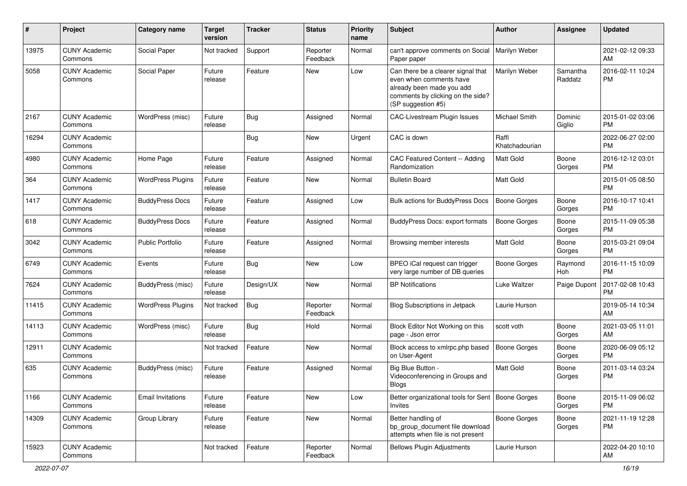| #     | Project                         | <b>Category name</b>     | <b>Target</b><br>version | <b>Tracker</b> | <b>Status</b>        | <b>Priority</b><br>name | <b>Subject</b>                                                                                                                                        | Author                  | <b>Assignee</b>     | <b>Updated</b>                |
|-------|---------------------------------|--------------------------|--------------------------|----------------|----------------------|-------------------------|-------------------------------------------------------------------------------------------------------------------------------------------------------|-------------------------|---------------------|-------------------------------|
| 13975 | <b>CUNY Academic</b><br>Commons | Social Paper             | Not tracked              | Support        | Reporter<br>Feedback | Normal                  | can't approve comments on Social<br>Paper paper                                                                                                       | Marilyn Weber           |                     | 2021-02-12 09:33<br>AM        |
| 5058  | <b>CUNY Academic</b><br>Commons | Social Paper             | Future<br>release        | Feature        | New                  | Low                     | Can there be a clearer signal that<br>even when comments have<br>already been made you add<br>comments by clicking on the side?<br>(SP suggestion #5) | Marilyn Weber           | Samantha<br>Raddatz | 2016-02-11 10:24<br><b>PM</b> |
| 2167  | <b>CUNY Academic</b><br>Commons | WordPress (misc)         | Future<br>release        | Bug            | Assigned             | Normal                  | CAC-Livestream Plugin Issues                                                                                                                          | Michael Smith           | Dominic<br>Giglio   | 2015-01-02 03:06<br><b>PM</b> |
| 16294 | <b>CUNY Academic</b><br>Commons |                          |                          | <b>Bug</b>     | <b>New</b>           | Urgent                  | CAC is down                                                                                                                                           | Raffi<br>Khatchadourian |                     | 2022-06-27 02:00<br><b>PM</b> |
| 4980  | <b>CUNY Academic</b><br>Commons | Home Page                | Future<br>release        | Feature        | Assigned             | Normal                  | CAC Featured Content -- Adding<br>Randomization                                                                                                       | <b>Matt Gold</b>        | Boone<br>Gorges     | 2016-12-12 03:01<br><b>PM</b> |
| 364   | <b>CUNY Academic</b><br>Commons | <b>WordPress Plugins</b> | Future<br>release        | Feature        | New                  | Normal                  | <b>Bulletin Board</b>                                                                                                                                 | <b>Matt Gold</b>        |                     | 2015-01-05 08:50<br><b>PM</b> |
| 1417  | <b>CUNY Academic</b><br>Commons | <b>BuddyPress Docs</b>   | Future<br>release        | Feature        | Assigned             | Low                     | <b>Bulk actions for BuddyPress Docs</b>                                                                                                               | <b>Boone Gorges</b>     | Boone<br>Gorges     | 2016-10-17 10:41<br><b>PM</b> |
| 618   | <b>CUNY Academic</b><br>Commons | <b>BuddyPress Docs</b>   | Future<br>release        | Feature        | Assigned             | Normal                  | <b>BuddyPress Docs: export formats</b>                                                                                                                | <b>Boone Gorges</b>     | Boone<br>Gorges     | 2015-11-09 05:38<br><b>PM</b> |
| 3042  | <b>CUNY Academic</b><br>Commons | <b>Public Portfolio</b>  | Future<br>release        | Feature        | Assigned             | Normal                  | Browsing member interests                                                                                                                             | <b>Matt Gold</b>        | Boone<br>Gorges     | 2015-03-21 09:04<br><b>PM</b> |
| 6749  | <b>CUNY Academic</b><br>Commons | Events                   | Future<br>release        | Bug            | <b>New</b>           | Low                     | BPEO iCal request can trigger<br>very large number of DB queries                                                                                      | <b>Boone Gorges</b>     | Raymond<br>Hoh      | 2016-11-15 10:09<br><b>PM</b> |
| 7624  | <b>CUNY Academic</b><br>Commons | BuddyPress (misc)        | Future<br>release        | Design/UX      | <b>New</b>           | Normal                  | <b>BP</b> Notifications                                                                                                                               | Luke Waltzer            | Paige Dupont        | 2017-02-08 10:43<br><b>PM</b> |
| 11415 | <b>CUNY Academic</b><br>Commons | <b>WordPress Plugins</b> | Not tracked              | <b>Bug</b>     | Reporter<br>Feedback | Normal                  | Blog Subscriptions in Jetpack                                                                                                                         | Laurie Hurson           |                     | 2019-05-14 10:34<br>AM        |
| 14113 | <b>CUNY Academic</b><br>Commons | WordPress (misc)         | Future<br>release        | <b>Bug</b>     | Hold                 | Normal                  | Block Editor Not Working on this<br>page - Json error                                                                                                 | scott voth              | Boone<br>Gorges     | 2021-03-05 11:01<br>AM        |
| 12911 | <b>CUNY Academic</b><br>Commons |                          | Not tracked              | Feature        | <b>New</b>           | Normal                  | Block access to xmlrpc.php based<br>on User-Agent                                                                                                     | <b>Boone Gorges</b>     | Boone<br>Gorges     | 2020-06-09 05:12<br><b>PM</b> |
| 635   | <b>CUNY Academic</b><br>Commons | BuddyPress (misc)        | Future<br>release        | Feature        | Assigned             | Normal                  | Big Blue Button -<br>Videoconferencing in Groups and<br><b>Blogs</b>                                                                                  | <b>Matt Gold</b>        | Boone<br>Gorges     | 2011-03-14 03:24<br><b>PM</b> |
| 1166  | <b>CUNY Academic</b><br>Commons | <b>Email Invitations</b> | Future<br>release        | Feature        | New                  | Low                     | Better organizational tools for Sent   Boone Gorges<br>Invites                                                                                        |                         | Boone<br>Gorges     | 2015-11-09 06:02<br><b>PM</b> |
| 14309 | <b>CUNY Academic</b><br>Commons | Group Library            | Future<br>release        | Feature        | New                  | Normal                  | Better handling of<br>bp_group_document file download<br>attempts when file is not present                                                            | <b>Boone Gorges</b>     | Boone<br>Gorges     | 2021-11-19 12:28<br><b>PM</b> |
| 15923 | <b>CUNY Academic</b><br>Commons |                          | Not tracked              | Feature        | Reporter<br>Feedback | Normal                  | <b>Bellows Plugin Adjustments</b>                                                                                                                     | Laurie Hurson           |                     | 2022-04-20 10:10<br>AM        |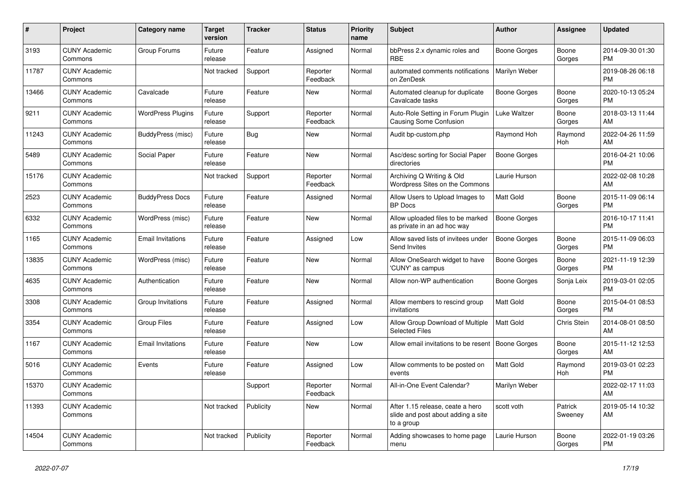| #     | <b>Project</b>                  | <b>Category name</b>     | <b>Target</b><br>version | <b>Tracker</b> | <b>Status</b>        | <b>Priority</b><br>name | <b>Subject</b>                                                                       | <b>Author</b>    | Assignee           | <b>Updated</b>                |
|-------|---------------------------------|--------------------------|--------------------------|----------------|----------------------|-------------------------|--------------------------------------------------------------------------------------|------------------|--------------------|-------------------------------|
| 3193  | <b>CUNY Academic</b><br>Commons | Group Forums             | Future<br>release        | Feature        | Assigned             | Normal                  | bbPress 2.x dynamic roles and<br><b>RBE</b>                                          | Boone Gorges     | Boone<br>Gorges    | 2014-09-30 01:30<br>PM        |
| 11787 | <b>CUNY Academic</b><br>Commons |                          | Not tracked              | Support        | Reporter<br>Feedback | Normal                  | automated comments notifications<br>on ZenDesk                                       | Marilyn Weber    |                    | 2019-08-26 06:18<br><b>PM</b> |
| 13466 | <b>CUNY Academic</b><br>Commons | Cavalcade                | Future<br>release        | Feature        | New                  | Normal                  | Automated cleanup for duplicate<br>Cavalcade tasks                                   | Boone Gorges     | Boone<br>Gorges    | 2020-10-13 05:24<br><b>PM</b> |
| 9211  | <b>CUNY Academic</b><br>Commons | <b>WordPress Plugins</b> | Future<br>release        | Support        | Reporter<br>Feedback | Normal                  | Auto-Role Setting in Forum Plugin<br>Causing Some Confusion                          | Luke Waltzer     | Boone<br>Gorges    | 2018-03-13 11:44<br>AM        |
| 11243 | <b>CUNY Academic</b><br>Commons | BuddyPress (misc)        | Future<br>release        | Bug            | <b>New</b>           | Normal                  | Audit bp-custom.php                                                                  | Raymond Hoh      | Raymond<br>Hoh     | 2022-04-26 11:59<br>AM        |
| 5489  | <b>CUNY Academic</b><br>Commons | Social Paper             | Future<br>release        | Feature        | <b>New</b>           | Normal                  | Asc/desc sorting for Social Paper<br>directories                                     | Boone Gorges     |                    | 2016-04-21 10:06<br><b>PM</b> |
| 15176 | <b>CUNY Academic</b><br>Commons |                          | Not tracked              | Support        | Reporter<br>Feedback | Normal                  | Archiving Q Writing & Old<br>Wordpress Sites on the Commons                          | Laurie Hurson    |                    | 2022-02-08 10:28<br>AM        |
| 2523  | <b>CUNY Academic</b><br>Commons | <b>BuddyPress Docs</b>   | Future<br>release        | Feature        | Assigned             | Normal                  | Allow Users to Upload Images to<br><b>BP</b> Docs                                    | <b>Matt Gold</b> | Boone<br>Gorges    | 2015-11-09 06:14<br>PM        |
| 6332  | <b>CUNY Academic</b><br>Commons | WordPress (misc)         | Future<br>release        | Feature        | New                  | Normal                  | Allow uploaded files to be marked<br>as private in an ad hoc way                     | Boone Gorges     |                    | 2016-10-17 11:41<br><b>PM</b> |
| 1165  | <b>CUNY Academic</b><br>Commons | <b>Email Invitations</b> | Future<br>release        | Feature        | Assigned             | Low                     | Allow saved lists of invitees under<br>Send Invites                                  | Boone Gorges     | Boone<br>Gorges    | 2015-11-09 06:03<br>PM        |
| 13835 | <b>CUNY Academic</b><br>Commons | WordPress (misc)         | Future<br>release        | Feature        | New                  | Normal                  | Allow OneSearch widget to have<br>'CUNY' as campus                                   | Boone Gorges     | Boone<br>Gorges    | 2021-11-19 12:39<br>PM        |
| 4635  | <b>CUNY Academic</b><br>Commons | Authentication           | Future<br>release        | Feature        | New                  | Normal                  | Allow non-WP authentication                                                          | Boone Gorges     | Sonja Leix         | 2019-03-01 02:05<br><b>PM</b> |
| 3308  | <b>CUNY Academic</b><br>Commons | Group Invitations        | Future<br>release        | Feature        | Assigned             | Normal                  | Allow members to rescind group<br>invitations                                        | <b>Matt Gold</b> | Boone<br>Gorges    | 2015-04-01 08:53<br><b>PM</b> |
| 3354  | <b>CUNY Academic</b><br>Commons | <b>Group Files</b>       | Future<br>release        | Feature        | Assigned             | Low                     | Allow Group Download of Multiple<br><b>Selected Files</b>                            | <b>Matt Gold</b> | <b>Chris Stein</b> | 2014-08-01 08:50<br>AM        |
| 1167  | <b>CUNY Academic</b><br>Commons | <b>Email Invitations</b> | Future<br>release        | Feature        | New                  | Low                     | Allow email invitations to be resent                                                 | Boone Gorges     | Boone<br>Gorges    | 2015-11-12 12:53<br>AM        |
| 5016  | <b>CUNY Academic</b><br>Commons | Events                   | Future<br>release        | Feature        | Assigned             | Low                     | Allow comments to be posted on<br>events                                             | <b>Matt Gold</b> | Raymond<br>Hoh     | 2019-03-01 02:23<br><b>PM</b> |
| 15370 | <b>CUNY Academic</b><br>Commons |                          |                          | Support        | Reporter<br>Feedback | Normal                  | All-in-One Event Calendar?                                                           | Marilyn Weber    |                    | 2022-02-17 11:03<br>AM        |
| 11393 | <b>CUNY Academic</b><br>Commons |                          | Not tracked              | Publicity      | New                  | Normal                  | After 1.15 release, ceate a hero<br>slide and post about adding a site<br>to a group | scott voth       | Patrick<br>Sweeney | 2019-05-14 10:32<br>AM        |
| 14504 | <b>CUNY Academic</b><br>Commons |                          | Not tracked              | Publicity      | Reporter<br>Feedback | Normal                  | Adding showcases to home page<br>menu                                                | Laurie Hurson    | Boone<br>Gorges    | 2022-01-19 03:26<br>PM        |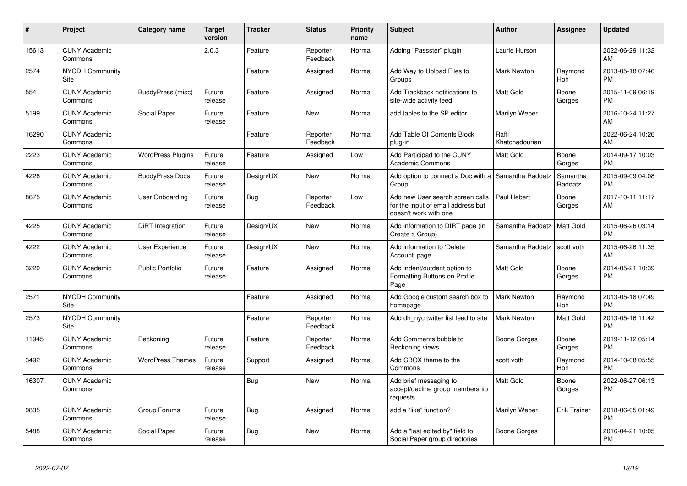| #     | Project                         | Category name            | <b>Target</b><br>version | <b>Tracker</b> | <b>Status</b>        | Priority<br>name | <b>Subject</b>                                                                                  | <b>Author</b>           | <b>Assignee</b>     | <b>Updated</b>                |
|-------|---------------------------------|--------------------------|--------------------------|----------------|----------------------|------------------|-------------------------------------------------------------------------------------------------|-------------------------|---------------------|-------------------------------|
| 15613 | <b>CUNY Academic</b><br>Commons |                          | 2.0.3                    | Feature        | Reporter<br>Feedback | Normal           | Adding "Passster" plugin                                                                        | Laurie Hurson           |                     | 2022-06-29 11:32<br>AM        |
| 2574  | <b>NYCDH Community</b><br>Site  |                          |                          | Feature        | Assigned             | Normal           | Add Way to Upload Files to<br>Groups                                                            | <b>Mark Newton</b>      | Raymond<br>Hoh      | 2013-05-18 07:46<br><b>PM</b> |
| 554   | <b>CUNY Academic</b><br>Commons | BuddyPress (misc)        | Future<br>release        | Feature        | Assigned             | Normal           | Add Trackback notifications to<br>site-wide activity feed                                       | <b>Matt Gold</b>        | Boone<br>Gorges     | 2015-11-09 06:19<br><b>PM</b> |
| 5199  | <b>CUNY Academic</b><br>Commons | Social Paper             | Future<br>release        | Feature        | New                  | Normal           | add tables to the SP editor                                                                     | Marilyn Weber           |                     | 2016-10-24 11:27<br>AM        |
| 16290 | <b>CUNY Academic</b><br>Commons |                          |                          | Feature        | Reporter<br>Feedback | Normal           | Add Table Of Contents Block<br>plug-in                                                          | Raffi<br>Khatchadourian |                     | 2022-06-24 10:26<br>AM        |
| 2223  | <b>CUNY Academic</b><br>Commons | <b>WordPress Plugins</b> | Future<br>release        | Feature        | Assigned             | Low              | Add Participad to the CUNY<br><b>Academic Commons</b>                                           | <b>Matt Gold</b>        | Boone<br>Gorges     | 2014-09-17 10:03<br><b>PM</b> |
| 4226  | <b>CUNY Academic</b><br>Commons | <b>BuddyPress Docs</b>   | Future<br>release        | Design/UX      | <b>New</b>           | Normal           | Add option to connect a Doc with a Samantha Raddatz<br>Group                                    |                         | Samantha<br>Raddatz | 2015-09-09 04:08<br><b>PM</b> |
| 8675  | <b>CUNY Academic</b><br>Commons | User Onboarding          | Future<br>release        | Bug            | Reporter<br>Feedback | Low              | Add new User search screen calls<br>for the input of email address but<br>doesn't work with one | Paul Hebert             | Boone<br>Gorges     | 2017-10-11 11:17<br>AM        |
| 4225  | <b>CUNY Academic</b><br>Commons | DiRT Integration         | Future<br>release        | Design/UX      | New                  | Normal           | Add information to DIRT page (in<br>Create a Group)                                             | Samantha Raddatz        | Matt Gold           | 2015-06-26 03:14<br><b>PM</b> |
| 4222  | <b>CUNY Academic</b><br>Commons | User Experience          | Future<br>release        | Design/UX      | <b>New</b>           | Normal           | Add information to 'Delete<br>Account' page                                                     | Samantha Raddatz        | scott voth          | 2015-06-26 11:35<br>AM        |
| 3220  | <b>CUNY Academic</b><br>Commons | <b>Public Portfolio</b>  | Future<br>release        | Feature        | Assigned             | Normal           | Add indent/outdent option to<br>Formatting Buttons on Profile<br>Page                           | <b>Matt Gold</b>        | Boone<br>Gorges     | 2014-05-21 10:39<br><b>PM</b> |
| 2571  | <b>NYCDH Community</b><br>Site  |                          |                          | Feature        | Assigned             | Normal           | Add Google custom search box to<br>homepage                                                     | <b>Mark Newton</b>      | Raymond<br>Hoh      | 2013-05-18 07:49<br><b>PM</b> |
| 2573  | <b>NYCDH Community</b><br>Site  |                          |                          | Feature        | Reporter<br>Feedback | Normal           | Add dh nyc twitter list feed to site                                                            | <b>Mark Newton</b>      | Matt Gold           | 2013-05-16 11:42<br><b>PM</b> |
| 11945 | <b>CUNY Academic</b><br>Commons | Reckoning                | Future<br>release        | Feature        | Reporter<br>Feedback | Normal           | Add Comments bubble to<br>Reckoning views                                                       | Boone Gorges            | Boone<br>Gorges     | 2019-11-12 05:14<br><b>PM</b> |
| 3492  | <b>CUNY Academic</b><br>Commons | <b>WordPress Themes</b>  | Future<br>release        | Support        | Assigned             | Normal           | Add CBOX theme to the<br>Commons                                                                | scott voth              | Raymond<br>Hoh      | 2014-10-08 05:55<br><b>PM</b> |
| 16307 | <b>CUNY Academic</b><br>Commons |                          |                          | Bug            | New                  | Normal           | Add brief messaging to<br>accept/decline group membership<br>requests                           | <b>Matt Gold</b>        | Boone<br>Gorges     | 2022-06-27 06:13<br><b>PM</b> |
| 9835  | <b>CUNY Academic</b><br>Commons | Group Forums             | Future<br>release        | <b>Bug</b>     | Assigned             | Normal           | add a "like" function?                                                                          | Marilyn Weber           | <b>Erik Trainer</b> | 2018-06-05 01:49<br><b>PM</b> |
| 5488  | <b>CUNY Academic</b><br>Commons | Social Paper             | Future<br>release        | <b>Bug</b>     | <b>New</b>           | Normal           | Add a "last edited by" field to<br>Social Paper group directories                               | Boone Gorges            |                     | 2016-04-21 10:05<br>PM        |